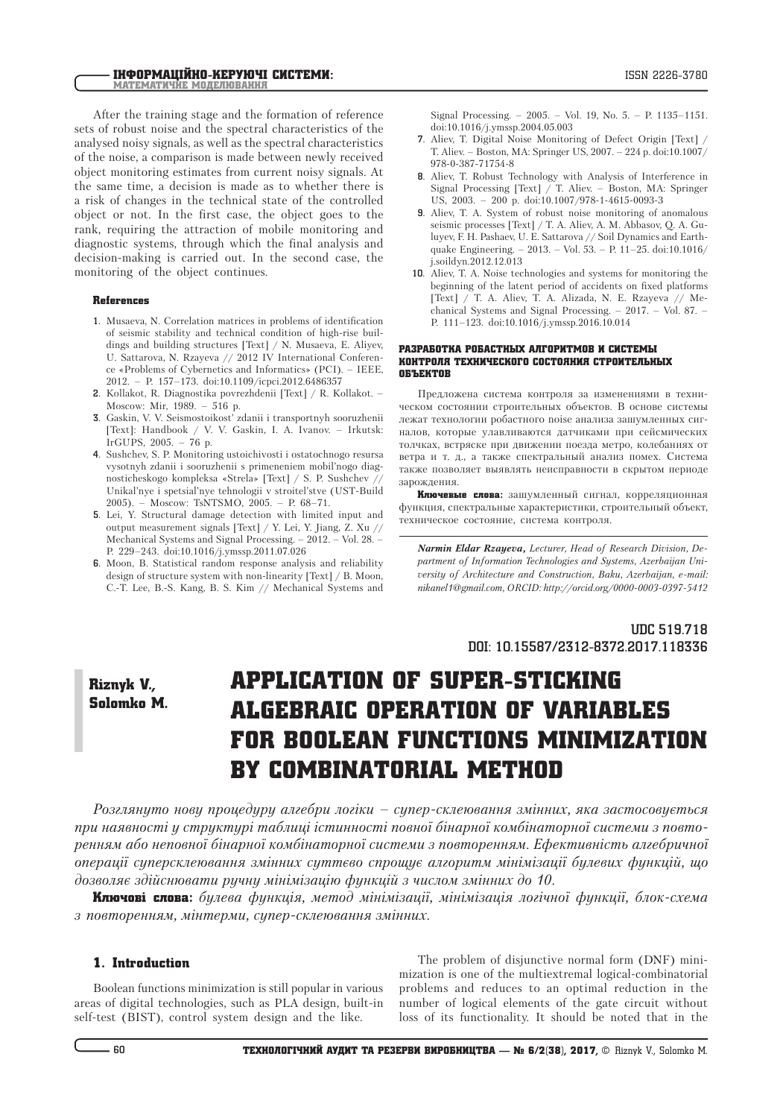After the training stage and the formation of reference sets of robust noise and the spectral characteristics of the analysed noisy signals, as well as the spectral characteristics of the noise, a comparison is made between newly received object monitoring estimates from current noisy signals. At the same time, a decision is made as to whether there is a risk of changes in the technical state of the controlled object or not. In the first case, the object goes to the rank, requiring the attraction of mobile monitoring and diagnostic systems, through which the final analysis and decision-making is carried out. In the second case, the monitoring of the object continues.

#### References

- **1.** Musaeva, N. Correlation matrices in problems of identification of seismic stability and technical condition of high-rise buildings and building structures [Text] / N. Musaeva, E. Aliyev, U. Sattarova, N. Rzayeva // 2012 IV International Conference «Problems of Cybernetics and Informatics» (PCI). – IEEE, 2012. – P. 157–173. doi:10.1109/icpci.2012.6486357
- **2.** Kollakot, R. Diagnostika povrezhdenii [Text] / R. Kollakot. Moscow: Mir, 1989. – 516 p.
- **3.** Gaskin, V. V. Seismostoikost' zdanii i transportnyh sooruzhenii [Text]: Handbook / V. V. Gaskin, I. A. Ivanov. – Irkutsk: IrGUPS, 2005. – 76 p.
- **4.** Sushchev, S. P. Monitoring ustoichivosti i ostatochnogo resursa vysotnyh zdanii i sooruzhenii s primeneniem mobil'nogo diagnosticheskogo kompleksa «Strela» [Text] / S. P. Sushchev // Unikal'nye i spetsial'nye tehnologii v stroitel'stve (UST-Build 2005). – Moscow: TsNTSMO, 2005. – P. 68–71.
- **5.** Lei, Y. Structural damage detection with limited input and output measurement signals [Text] / Y. Lei, Y. Jiang, Z. Xu // Mechanical Systems and Signal Processing. – 2012. – Vol. 28. – P. 229–243. doi:10.1016/j.ymssp.2011.07.026
- **6.** Moon, B. Statistical random response analysis and reliability design of structure system with non-linearity [Text] / B. Moon, C.-T. Lee, B.-S. Kang, B. S. Kim // Mechanical Systems and

Signal Processing. – 2005. – Vol. 19, No. 5. – P. 1135–1151. doi:10.1016/j.ymssp.2004.05.003

- **7.** Aliev, T. Digital Noise Monitoring of Defect Origin [Text] / T. Aliev. – Boston, MA: Springer US, 2007. – 224 p. doi:10.1007/ 978-0-387-71754-8
- **8.** Aliev, T. Robust Technology with Analysis of Interference in Signal Processing [Text] / T. Aliev. – Boston, MA: Springer US, 2003. – 200 p. doi:10.1007/978-1-4615-0093-3
- **9.** Aliev, T. A. System of robust noise monitoring of anomalous seismic processes [Text] / T. A. Aliev, A. M. Abbasov, Q. A. Guluyev, F. H. Pashaev, U. E. Sattarova // Soil Dynamics and Earthquake Engineering. – 2013. – Vol. 53. – P. 11–25. doi:10.1016/ j.soildyn.2012.12.013
- **10.** Aliev, T. A. Noise technologies and systems for monitoring the beginning of the latent period of accidents on fixed platforms [Text] / T. A. Aliev, T. A. Alizada, N. E. Rzayeva // Mechanical Systems and Signal Processing. – 2017. – Vol. 87. – P. 111–123. doi:10.1016/j.ymssp.2016.10.014

#### Разработка робастных алгоритмов и системы контроля технического состояния строительных объектов

Предложена система контроля за изменениями в техническом состоянии строительных объектов. В основе системы лежат технологии робастного noise анализа зашумленных сигналов, которые улавливаются датчиками при сейсмических толчках, встряске при движении поезда метро, колебаниях от ветра и т. д., а также спектральный анализ помех. Система также позволяет выявлять неисправности в скрытом периоде зарождения.

**Ключевые слова:** зашумленный сигнал, корреляционная функция, спектральные характеристики, строительный объект, техническое состояние, система контроля.

*Narmin Eldar Rzayeva, Lecturer, Head of Research Division, Department of Information Technologies and Systems, Azerbaijan University of Architecture and Construction, Baku, Azerbaijan, e-mail: nikanel1@gmail.com, ORCID: http://orcid.org/0000-0003-0397-5412*

> **UDC 519.718 DOI: 10.15587/2312-8372.2017.118336**

# Riznyk V., Solomko M.

# Application of super-sticking algebraic operation of variables for boolean functions minimization by combinatorial method

*Розглянуто нову процедуру алгебри логіки – супер-склеювання змінних, яка застосовується при наявності у структурі таблиці істинності повної бінарної комбінаторної системи з повторенням або неповної бінарної комбінаторної системи з повторенням. Ефективність алгебричної операції суперсклеювання змінних суттєво спрощує алгоритм мінімізації булевих функцій, що дозволяє здійснювати ручну мінімізацію функцій з числом змінних до 10.*

Ключові слова: *булева функція, метод мінімізації, мінімізація логічної функції, блок-схема з повторенням, мінтерми, супер-склеювання змінних.*

## 1. Introduction

Boolean functions minimization is still popular in various areas of digital technologies, such as PLA design, built-in self-test (BIST), control system design and the like.

The problem of disjunctive normal form (DNF) minimization is one of the multiextremal logical-combinatorial problems and reduces to an optimal reduction in the number of logical elements of the gate circuit without loss of its functionality. It should be noted that in the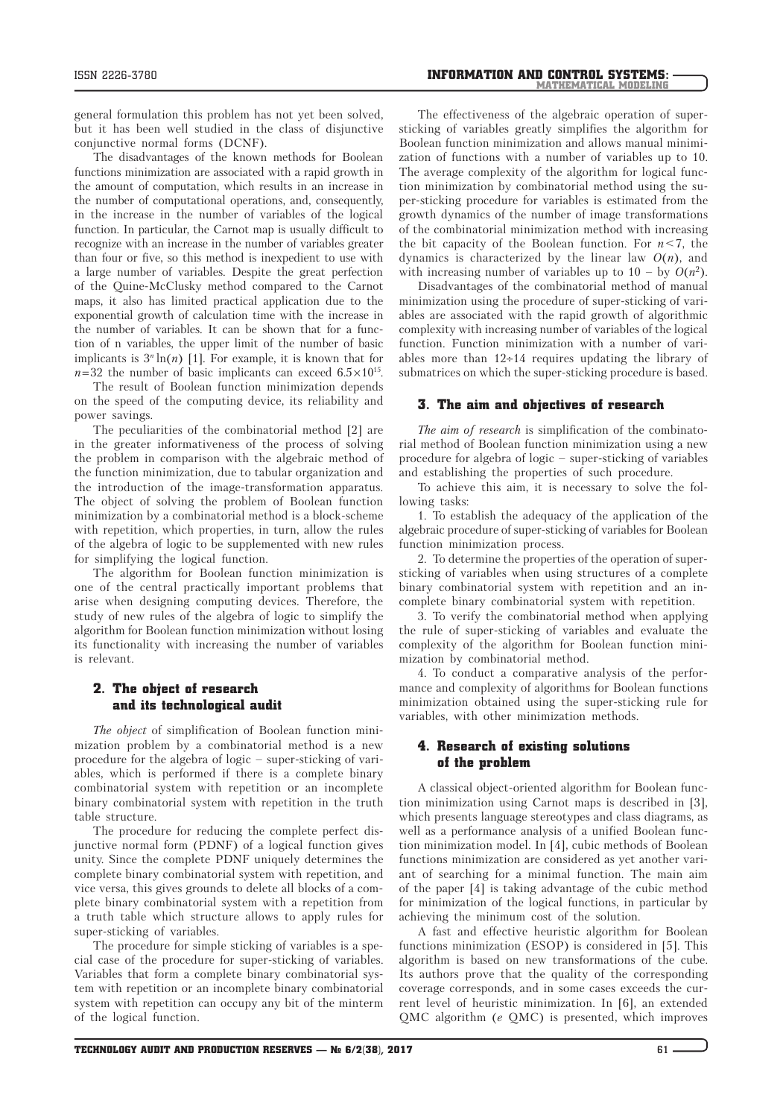general formulation this problem has not yet been solved, but it has been well studied in the class of disjunctive conjunctive normal forms (DCNF).

The disadvantages of the known methods for Boolean functions minimization are associated with a rapid growth in the amount of computation, which results in an increase in the number of computational operations, and, consequently, in the increase in the number of variables of the logical function. In particular, the Carnot map is usually difficult to recognize with an increase in the number of variables greater than four or five, so this method is inexpedient to use with a large number of variables. Despite the great perfection of the Quine-McClusky method compared to the Carnot maps, it also has limited practical application due to the exponential growth of calculation time with the increase in the number of variables. It can be shown that for a function of n variables, the upper limit of the number of basic implicants is  $3<sup>n</sup> \ln(n)$  [1]. For example, it is known that for  $n=32$  the number of basic implicants can exceed  $6.5 \times 10^{15}$ .

The result of Boolean function minimization depends on the speed of the computing device, its reliability and power savings.

The peculiarities of the combinatorial method [2] are in the greater informativeness of the process of solving the problem in comparison with the algebraic method of the function minimization, due to tabular organization and the introduction of the image-transformation apparatus. The object of solving the problem of Boolean function minimization by a combinatorial method is a block-scheme with repetition, which properties, in turn, allow the rules of the algebra of logic to be supplemented with new rules for simplifying the logical function.

The algorithm for Boolean function minimization is one of the central practically important problems that arise when designing computing devices. Therefore, the study of new rules of the algebra of logic to simplify the algorithm for Boolean function minimization without losing its functionality with increasing the number of variables is relevant.

# 2. The object of research and its technological audit

*The object* of simplification of Boolean function minimization problem by a combinatorial method is a new procedure for the algebra of logic – super-sticking of variables, which is performed if there is a complete binary combinatorial system with repetition or an incomplete binary combinatorial system with repetition in the truth table structure.

The procedure for reducing the complete perfect disjunctive normal form (PDNF) of a logical function gives unity. Since the complete PDNF uniquely determines the complete binary combinatorial system with repetition, and vice versa, this gives grounds to delete all blocks of a complete binary combinatorial system with a repetition from a truth table which structure allows to apply rules for super-sticking of variables.

The procedure for simple sticking of variables is a special case of the procedure for super-sticking of variables. Variables that form a complete binary combinatorial system with repetition or an incomplete binary combinatorial system with repetition can occupy any bit of the minterm of the logical function.

The effectiveness of the algebraic operation of supersticking of variables greatly simplifies the algorithm for Boolean function minimization and allows manual minimization of functions with a number of variables up to 10. The average complexity of the algorithm for logical function minimization by combinatorial method using the super-sticking procedure for variables is estimated from the growth dynamics of the number of image transformations of the combinatorial minimization method with increasing the bit capacity of the Boolean function. For *n*<7, the dynamics is characterized by the linear law *O*(*n*), and with increasing number of variables up to  $10 - by O(n^2)$ .

Disadvantages of the combinatorial method of manual minimization using the procedure of super-sticking of variables are associated with the rapid growth of algorithmic complexity with increasing number of variables of the logical function. Function minimization with a number of variables more than  $12 \div 14$  requires updating the library of submatrices on which the super-sticking procedure is based.

## 3. The aim and objectives of research

*The aim of research* is simplification of the combinatorial method of Boolean function minimization using a new procedure for algebra of logic – super-sticking of variables and establishing the properties of such procedure.

To achieve this aim, it is necessary to solve the following tasks:

1. To establish the adequacy of the application of the algebraic procedure of super-sticking of variables for Boolean function minimization process.

2. To determine the properties of the operation of supersticking of variables when using structures of a complete binary combinatorial system with repetition and an incomplete binary combinatorial system with repetition.

3. To verify the combinatorial method when applying the rule of super-sticking of variables and evaluate the complexity of the algorithm for Boolean function minimization by combinatorial method.

4. To conduct a comparative analysis of the performance and complexity of algorithms for Boolean functions minimization obtained using the super-sticking rule for variables, with other minimization methods.

## 4. Research of existing solutions of the problem

A classical object-oriented algorithm for Boolean function minimization using Carnot maps is described in [3], which presents language stereotypes and class diagrams, as well as a performance analysis of a unified Boolean function minimization model. In [4], cubic methods of Boolean functions minimization are considered as yet another variant of searching for a minimal function. The main aim of the paper [4] is taking advantage of the cubic method for minimization of the logical functions, in particular by achieving the minimum cost of the solution.

A fast and effective heuristic algorithm for Boolean functions minimization (ESOP) is considered in [5]. This algorithm is based on new transformations of the cube. Its authors prove that the quality of the corresponding coverage corresponds, and in some cases exceeds the current level of heuristic minimization. In [6], an extended QMC algorithm (*e* QMC) is presented, which improves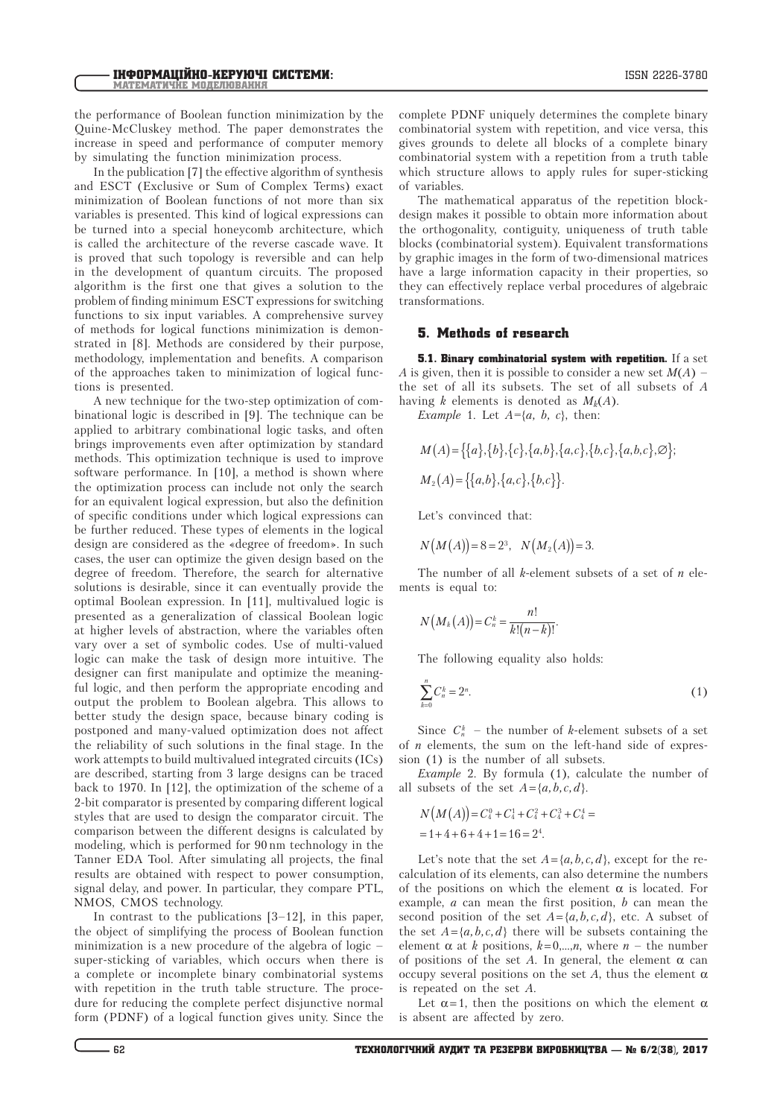the performance of Boolean function minimization by the Quine-McCluskey method. The paper demonstrates the increase in speed and performance of computer memory by simulating the function minimization process.

In the publication [7] the effective algorithm of synthesis and ESCT (Exclusive or Sum of Complex Terms) exact minimization of Boolean functions of not more than six variables is presented. This kind of logical expressions can be turned into a special honeycomb architecture, which is called the architecture of the reverse cascade wave. It is proved that such topology is reversible and can help in the development of quantum circuits. The proposed algorithm is the first one that gives a solution to the problem of finding minimum ESCT expressions for switching functions to six input variables. A comprehensive survey of methods for logical functions minimization is demonstrated in [8]. Methods are considered by their purpose, methodology, implementation and benefits. A comparison of the approaches taken to minimization of logical functions is presented.

A new technique for the two-step optimization of combinational logic is described in [9]. The technique can be applied to arbitrary combinational logic tasks, and often brings improvements even after optimization by standard methods. This optimization technique is used to improve software performance. In [10], a method is shown where the optimization process can include not only the search for an equivalent logical expression, but also the definition of specific conditions under which logical expressions can be further reduced. These types of elements in the logical design are considered as the «degree of freedom». In such cases, the user can optimize the given design based on the degree of freedom. Therefore, the search for alternative solutions is desirable, since it can eventually provide the optimal Boolean expression. In [11], multivalued logic is presented as a generalization of classical Boolean logic at higher levels of abstraction, where the variables often vary over a set of symbolic codes. Use of multi-valued logic can make the task of design more intuitive. The designer can first manipulate and optimize the meaningful logic, and then perform the appropriate encoding and output the problem to Boolean algebra. This allows to better study the design space, because binary coding is postponed and many-valued optimization does not affect the reliability of such solutions in the final stage. In the work attempts to build multivalued integrated circuits (ICs) are described, starting from 3 large designs can be traced back to 1970. In [12], the optimization of the scheme of a 2-bit comparator is presented by comparing different logical styles that are used to design the comparator circuit. The comparison between the different designs is calculated by modeling, which is performed for 90 nm technology in the Tanner EDA Tool. After simulating all projects, the final results are obtained with respect to power consumption, signal delay, and power. In particular, they compare PTL, NMOS, CMOS technology.

In contrast to the publications [3–12], in this paper, the object of simplifying the process of Boolean function minimization is a new procedure of the algebra of logic – super-sticking of variables, which occurs when there is a complete or incomplete binary combinatorial systems with repetition in the truth table structure. The procedure for reducing the complete perfect disjunctive normal form (PDNF) of a logical function gives unity. Since the complete PDNF uniquely determines the complete binary combinatorial system with repetition, and vice versa, this gives grounds to delete all blocks of a complete binary combinatorial system with a repetition from a truth table which structure allows to apply rules for super-sticking of variables.

The mathematical apparatus of the repetition blockdesign makes it possible to obtain more information about the orthogonality, contiguity, uniqueness of truth table blocks (combinatorial system). Equivalent transformations by graphic images in the form of two-dimensional matrices have a large information capacity in their properties, so they can effectively replace verbal procedures of algebraic transformations.

## 5. Methods of research

**5.1. Binary combinatorial system with repetition.** If a set *A* is given, then it is possible to consider a new set *М*(*А*) *–*  the set of all its subsets. The set of all subsets of *A* having *k* elements is denoted as  $M_k(A)$ .

*Example* 1. Let *A=*{*a, b, c*}, then:

$$
M(A) = \{ \{a\}, \{b\}, \{c\}, \{a,b\}, \{a,c\}, \{b,c\}, \{a,b,c\}, \emptyset \};
$$
  

$$
M_2(A) = \{ \{a,b\}, \{a,c\}, \{b,c\} \}.
$$

Let's convinced that:

$$
N(M(A))=8=2^3
$$
,  $N(M_2(A))=3$ .

The number of all *k*-element subsets of a set of *n* elements is equal to:

$$
N\big(M_k(A)\big)=C_n^k=\frac{n!}{k!(n-k)!}.
$$

The following equality also holds:

$$
\sum_{k=0}^{n} C_n^k = 2^n.
$$
 (1)

Since  $C_n^k$  – the number of *k*-element subsets of a set of *n* elements, the sum on the left-hand side of expression (1) is the number of all subsets.

*Example* 2. By formula (1), calculate the number of all subsets of the set  $A = \{a, b, c, d\}.$ 

$$
N(M(A)) = C_4^0 + C_4^1 + C_4^2 + C_4^3 + C_4^4 =
$$
  
= 1 + 4 + 6 + 4 + 1 = 16 = 2<sup>4</sup>.

Let's note that the set  $A = \{a, b, c, d\}$ , except for the recalculation of its elements, can also determine the numbers of the positions on which the element  $\alpha$  is located. For example, *a* can mean the first position, *b* can mean the second position of the set  $A = \{a, b, c, d\}$ , etc. A subset of the set  $A = \{a, b, c, d\}$  there will be subsets containing the element  $\alpha$  at *k* positions,  $k=0,...,n$ , where  $n-$  the number of positions of the set *A*. In general, the element  $\alpha$  can occupy several positions on the set  $A$ , thus the element  $\alpha$ is repeated on the set *A*.

Let  $\alpha = 1$ , then the positions on which the element  $\alpha$ is absent are affected by zero.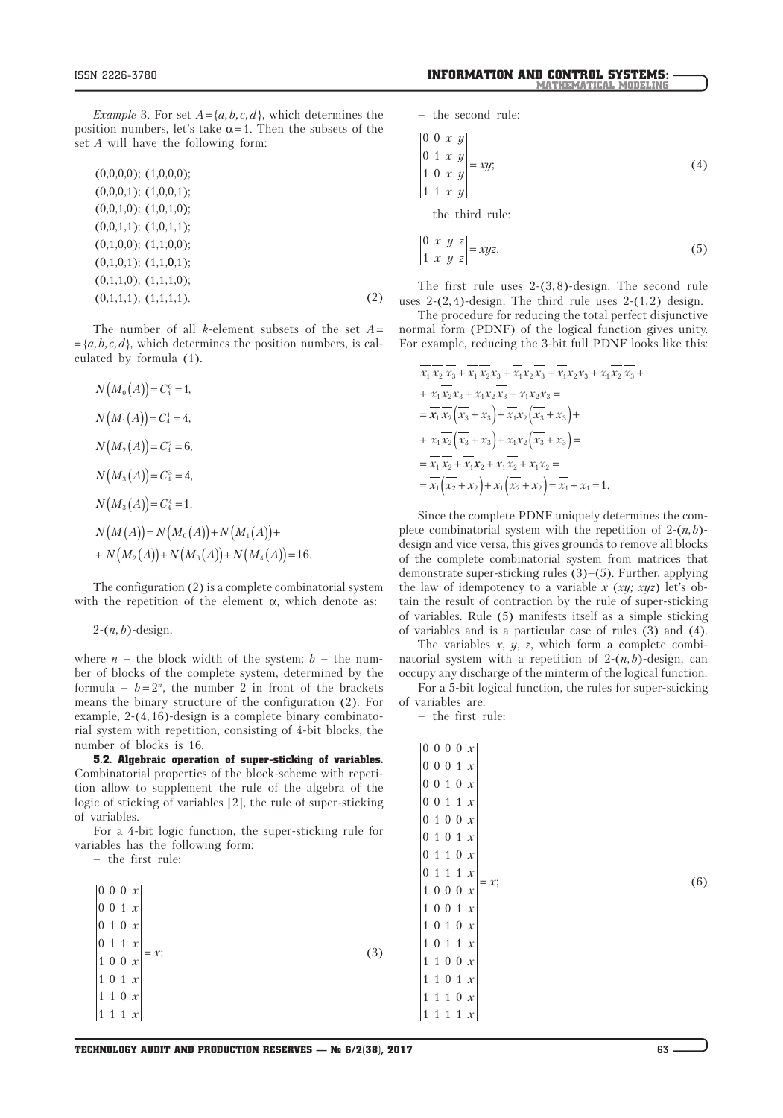*Example* 3. For set  $A = \{a, b, c, d\}$ , which determines the position numbers, let's take  $\alpha = 1$ . Then the subsets of the set *A* will have the following form:

| $(0,0,0,0);$ $(1,0,0,0);$ |     |
|---------------------------|-----|
| $(0,0,0,1);$ $(1,0,0,1);$ |     |
| $(0,0,1,0);$ $(1,0,1,0);$ |     |
| $(0,0,1,1);$ $(1,0,1,1);$ |     |
| $(0,1,0,0);$ $(1,1,0,0);$ |     |
| $(0,1,0,1);$ $(1,1,0,1);$ |     |
| $(0,1,1,0);$ $(1,1,1,0);$ |     |
| $(0,1,1,1);$ $(1,1,1,1).$ | (2) |
|                           |     |

The number of all *k*-element subsets of the set *A*=  $= \{a, b, c, d\}$ , which determines the position numbers, is calculated by formula (1).

$$
N(M_0(A)) = C_4^0 = 1,
$$
  
\n
$$
N(M_1(A)) = C_4^1 = 4,
$$
  
\n
$$
N(M_2(A)) = C_4^2 = 6,
$$
  
\n
$$
N(M_3(A)) = C_4^3 = 4,
$$
  
\n
$$
N(M_3(A)) = C_4^4 = 1.
$$
  
\n
$$
N(M(A)) = N(M_0(A)) + N(M_1(A)) +
$$
  
\n
$$
+ N(M_2(A)) + N(M_3(A)) + N(M_4(A)) = 16.
$$

The configuration (2) is a complete combinatorial system with the repetition of the element  $\alpha$ , which denote as:

2-(*n*, *b*)-design,

where  $n -$  the block width of the system;  $b -$  the number of blocks of the complete system, determined by the formula –  $b = 2<sup>n</sup>$ , the number 2 in front of the brackets means the binary structure of the configuration (2). For example, 2-(4, 16)-design is a complete binary combinatorial system with repetition, consisting of 4-bit blocks, the number of blocks is 16.

5.2. Algebraic operation of super-sticking of variables. Combinatorial properties of the block-scheme with repetition allow to supplement the rule of the algebra of the logic of sticking of variables [2], the rule of super-sticking of variables.

For a 4-bit logic function, the super-sticking rule for variables has the following form:

– the first rule:

| $\begin{vmatrix} 0 & 0 & 0 & x \\ 0 & 0 & 1 & x \\ 0 & 1 & 0 & x \\ 0 & 1 & 1 & x \\ 1 & 0 & 0 & x \\ 1 & 0 & 1 & x \\ 1 & 1 & 0 & x \\ 1 & 1 & 1 & x \end{vmatrix} = x;$ |  | (3) |
|---------------------------------------------------------------------------------------------------------------------------------------------------------------------------|--|-----|
|                                                                                                                                                                           |  |     |

– the second rule:

$$
\begin{vmatrix} 0 & 0 & x & y \\ 0 & 1 & x & y \\ 1 & 0 & x & y \\ 1 & 1 & x & y \end{vmatrix} = xy;
$$
 (4)

– the third rule:

$$
\begin{vmatrix} 0 & x & y & z \\ 1 & x & y & z \end{vmatrix} = xyz.
$$
 (5)

The first rule uses 2-(3, 8)-design. The second rule uses  $2-(2, 4)$ -design. The third rule uses  $2-(1, 2)$  design.

The procedure for reducing the total perfect disjunctive normal form (PDNF) of the logical function gives unity. For example, reducing the 3-bit full PDNF looks like this:

$$
\overline{x_1}\overline{x_2}\overline{x_3} + \overline{x_1}\overline{x_2}x_3 + \overline{x_1}x_2\overline{x_3} + \overline{x_1}x_2x_3 + x_1x_2x_3 + x_1\overline{x_2}\overline{x_3} +
$$
  
+  $x_1\overline{x_2}x_3 + x_1x_2\overline{x_3} + x_1x_2x_3 =$   
=  $\overline{x_1}\overline{x_2}\left(\overline{x_3} + x_3\right) + \overline{x_1}x_2\left(\overline{x_3} + x_3\right) +$   
+  $x_1\overline{x_2}\left(\overline{x_3} + x_3\right) + x_1x_2\left(\overline{x_3} + x_3\right) =$   
=  $\overline{x_1}\overline{x_2} + \overline{x_1}x_2 + x_1\overline{x_2} + x_1x_2 =$   
=  $\overline{x_1}\left(\overline{x_2} + x_2\right) + x_1\left(\overline{x_2} + x_2\right) = \overline{x_1} + x_1 = 1.$ 

Since the complete PDNF uniquely determines the complete combinatorial system with the repetition of  $2-(n, b)$ design and vice versa, this gives grounds to remove all blocks of the complete combinatorial system from matrices that demonstrate super-sticking rules (3)–(5). Further, applying the law of idempotency to a variable *x* (*xy; xyz*) let's obtain the result of contraction by the rule of super-sticking of variables. Rule (5) manifests itself as a simple sticking of variables and is a particular case of rules (3) and (4).

The variables *x*, *y*, *z*, which form a complete combinatorial system with a repetition of  $2-(n, b)$ -design, can occupy any discharge of the minterm of the logical function.

For a 5-bit logical function, the rules for super-sticking of variables are:

– the first rule:

|              | 0000x        |   |   |               |               |
|--------------|--------------|---|---|---------------|---------------|
|              | 0 0 0 1 x    |   |   |               |               |
|              | 0 0 1 0 x    |   |   |               |               |
|              | 0 0 1 1 x    |   |   |               |               |
|              | 0 1 0 0 x    |   |   |               |               |
|              | 0 1 0 1 x    |   |   |               |               |
|              | 0 1 1 0 x    |   |   |               |               |
|              | $0\,1$       |   |   | $1 \; 1 \; x$ |               |
|              | 1 0 0 0 x    |   |   |               | (6)<br>$= x;$ |
|              | 1001x        |   |   |               |               |
|              | 1010x        |   |   |               |               |
|              | 1 0 1 1 x    |   |   |               |               |
|              | 1 1 0 0 x    |   |   |               |               |
|              | 1 1 0 1 x    |   |   |               |               |
|              | 1 1 1 0 x    |   |   |               |               |
| $\mathbf{1}$ | $\mathbf{1}$ | 1 | 1 | $\mathcal X$  |               |
|              |              |   |   |               |               |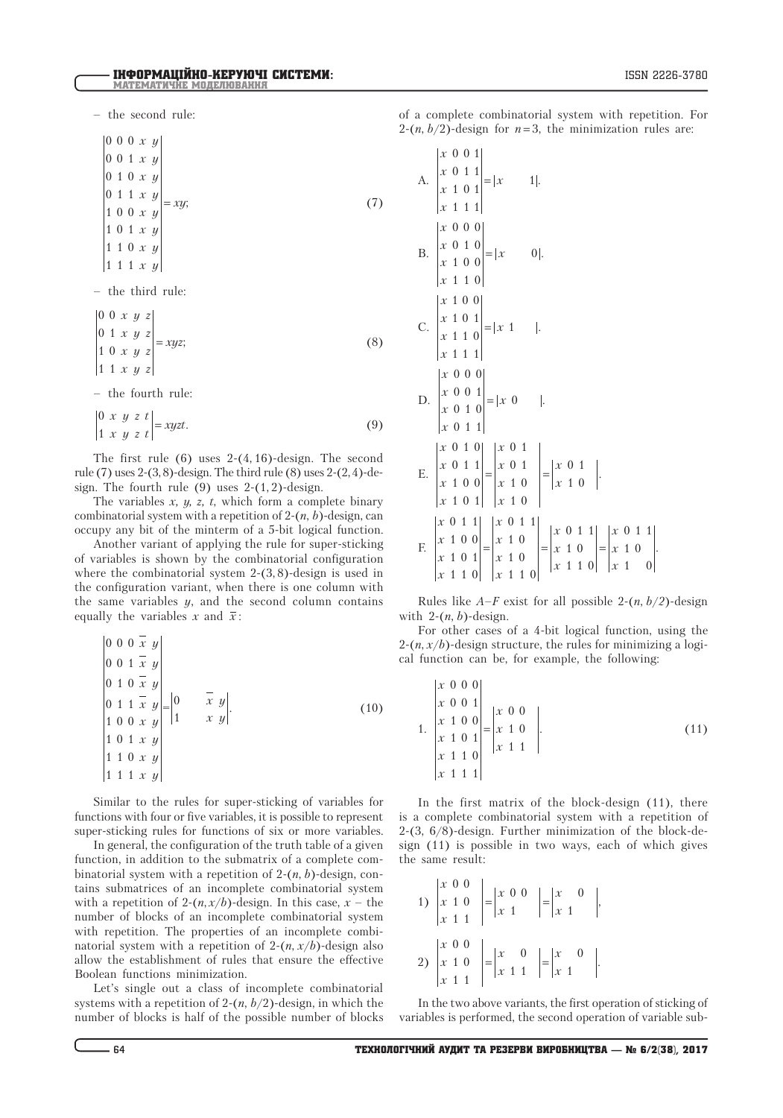– the second rule:

000 *x y* 0 0 1 *x y* 0 1 0 *x y* 0 1 1 *x y* 1 0 0 *x y* 1 0 1 *x y* 1 1 0 *x y* 111 *x y*  $= xy;$  (7)

– the third rule:

$$
\begin{vmatrix} 0 & 0 & x & y & z \\ 0 & 1 & x & y & z \\ 1 & 0 & x & y & z \\ 1 & 1 & x & y & z \end{vmatrix} = xyz;
$$
 (8)

– the fourth rule:

$$
\begin{vmatrix} 0 & x & y & z & t \\ 1 & x & y & z & t \end{vmatrix} = xyzt.
$$
 (9)

The first rule  $(6)$  uses 2- $(4, 16)$ -design. The second rule (7) uses 2-(3, 8)-design. The third rule (8) uses 2-(2, 4)-design. The fourth rule  $(9)$  uses 2- $(1, 2)$ -design.

The variables  $x$ ,  $y$ ,  $z$ ,  $t$ , which form a complete binary combinatorial system with a repetition of 2-(*n*, *b*)-design, can occupy any bit of the minterm of a 5-bit logical function.

Another variant of applying the rule for super-sticking of variables is shown by the combinatorial configuration where the combinatorial system 2-(3, 8)-design is used in the configuration variant, when there is one column with the same variables *y*, and the second column contains equally the variables  $x$  and  $\bar{x}$ :

$$
\begin{vmatrix}\n0 & 0 & 0 & x & y \\
0 & 0 & 1 & \overline{x} & y \\
0 & 1 & 0 & \overline{x} & y \\
0 & 1 & 1 & \overline{x} & y \\
1 & 0 & 0 & x & y \\
1 & 0 & 1 & x & y \\
1 & 1 & 0 & x & y \\
1 & 1 & 1 & x & y\n\end{vmatrix} = \begin{vmatrix}\n0 & \overline{x} & y \\
0 & \overline{x} & y \\
1 & x & y\n\end{vmatrix}.
$$
\n(10)

Similar to the rules for super-sticking of variables for functions with four or five variables, it is possible to represent super-sticking rules for functions of six or more variables.

In general, the configuration of the truth table of a given function, in addition to the submatrix of a complete combinatorial system with a repetition of 2-(*n*, *b*)-design, contains submatrices of an incomplete combinatorial system with a repetition of 2- $(n, x/b)$ -design. In this case,  $x -$  the number of blocks of an incomplete combinatorial system with repetition. The properties of an incomplete combinatorial system with a repetition of  $2-(n, x/b)$ -design also allow the establishment of rules that ensure the effective Boolean functions minimization.

Let's single out a class of incomplete combinatorial systems with a repetition of 2-(*n*, *b*/2)-design, in which the number of blocks is half of the possible number of blocks of a complete combinatorial system with repetition. For 2- $(n, b/2)$ -design for  $n=3$ , the minimization rules are:

A. 
$$
\begin{vmatrix} x & 0 & 0 & 1 \\ x & 0 & 1 & 1 \\ x & 1 & 0 & 1 \\ x & 1 & 1 & 1 \end{vmatrix} = |x \t 1|.
$$
  
\nB. 
$$
\begin{vmatrix} x & 0 & 0 & 0 \\ x & 0 & 1 & 0 \\ x & 1 & 0 & 0 \\ x & 1 & 1 & 0 \end{vmatrix} = |x \t 0|.
$$
  
\nC. 
$$
\begin{vmatrix} x & 1 & 0 & 0 \\ x & 1 & 0 & 1 \\ x & 1 & 1 & 1 \end{vmatrix} = |x \t 1|.
$$
  
\nD. 
$$
\begin{vmatrix} x & 0 & 0 & 0 \\ x & 0 & 0 & 1 \\ x & 0 & 1 & 1 \end{vmatrix} = |x \t 0|.
$$
  
\nE. 
$$
\begin{vmatrix} x & 0 & 1 & 0 \\ x & 0 & 1 & 1 \\ x & 1 & 0 & 0 \\ x & 1 & 0 & 1 \end{vmatrix} = \begin{vmatrix} x & 0 & 1 \\ x & 0 & 1 \\ x & 1 & 0 \end{vmatrix} = \begin{vmatrix} x & 0 & 1 \\ x & 1 & 0 \\ x & 1 & 0 \end{vmatrix} = \begin{vmatrix} x & 0 & 1 & 1 \\ x & 1 & 0 & 1 \\ x & 1 & 0 & 1 \\ x & 1 & 1 & 0 \end{vmatrix} = \begin{vmatrix} x & 0 & 1 & 1 \\ x & 1 & 0 & 1 \\ x & 1 & 1 & 0 \end{vmatrix} = \begin{vmatrix} x & 0 & 1 & 1 \\ x & 1 & 0 & 1 \\ x & 1 & 1 & 0 \end{vmatrix} = \begin{vmatrix} x & 0 & 1 & 1 \\ x & 1 & 0 & 1 \\ x & 1 & 1 & 0 \end{vmatrix}.
$$

Rules like  $A-F$  exist for all possible 2- $(n, b/2)$ -design with 2-(*n*, *b*)-design.

For other cases of a 4-bit logical function, using the  $2-(n, x/b)$ -design structure, the rules for minimizing a logical function can be, for example, the following:

1. 
$$
\begin{vmatrix} x & 0 & 0 & 0 \ x & 0 & 0 & 1 \ x & 1 & 0 & 0 \ x & 1 & 0 & 1 \ x & 1 & 1 & 0 \ x & 1 & 1 & 1 \end{vmatrix} = \begin{vmatrix} x & 0 & 0 \ x & 1 & 0 \ x & 1 & 1 \end{vmatrix}.
$$
 (11)

In the first matrix of the block-design (11), there is a complete combinatorial system with a repetition of 2-(3, 6/8)-design. Further minimization of the block-design (11) is possible in two ways, each of which gives the same result:

1) 
$$
\begin{vmatrix} x & 0 & 0 \ x & 1 & 0 \ x & 1 & 1 \end{vmatrix} = \begin{vmatrix} x & 0 & 0 \ x & 1 & 1 \end{vmatrix} = \begin{vmatrix} x & 0 \ x & 1 & 1 \end{vmatrix},
$$
  
2) 
$$
\begin{vmatrix} x & 0 & 0 \ x & 1 & 0 \ x & 1 & 1 \end{vmatrix} = \begin{vmatrix} x & 0 \ x & 1 & 1 \end{vmatrix} = \begin{vmatrix} x & 0 \ x & 1 \end{vmatrix}.
$$

 $\sim$ 

In the two above variants, the first operation of sticking of variables is performed, the second operation of variable sub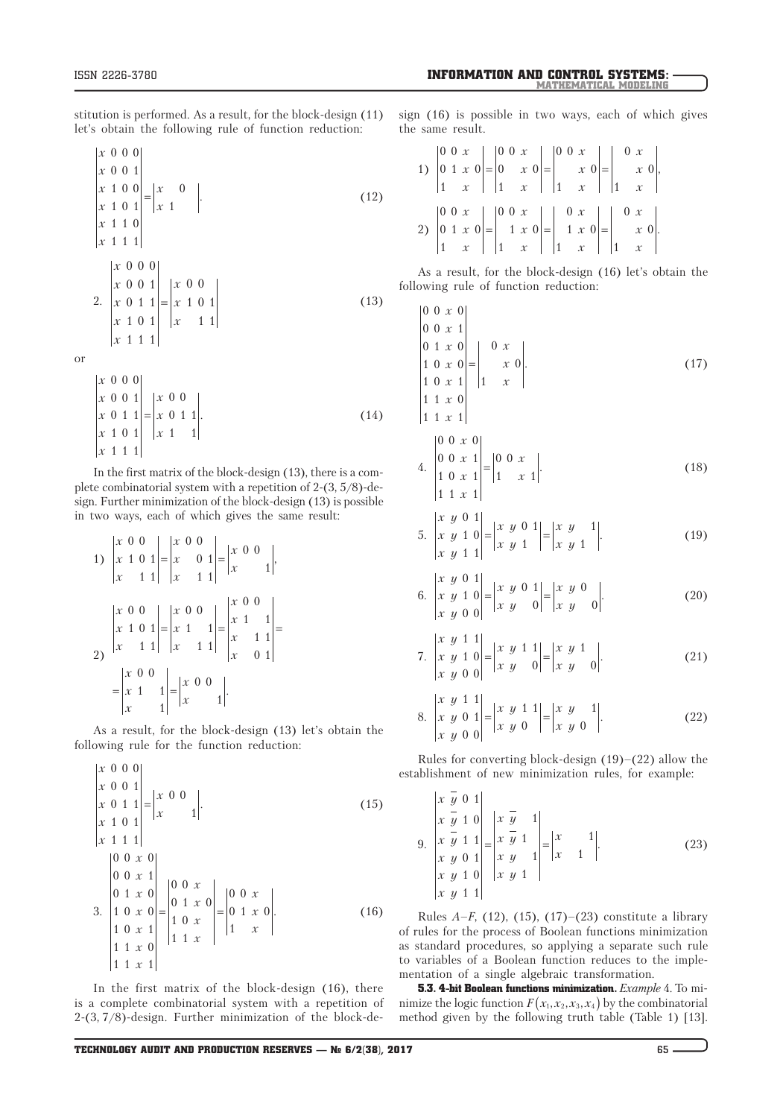stitution is performed. As a result, for the block-design (11) let's obtain the following rule of function reduction:

$$
\begin{vmatrix} x & 0 & 0 & 0 \\ x & 0 & 0 & 1 \\ x & 1 & 0 & 0 \\ x & 1 & 0 & 1 \\ x & 1 & 1 & 0 \\ x & 1 & 1 & 1 \end{vmatrix} = \begin{vmatrix} x & 0 \\ x & 1 \end{vmatrix}.
$$
 (12)

2. 
$$
\begin{vmatrix} x & 0 & 0 & 0 \ x & 0 & 0 & 1 \ x & 0 & 1 & 1 \ x & 1 & 0 & 1 \ x & 1 & 1 & 1 \ \end{vmatrix} = \begin{vmatrix} x & 0 & 0 \ x & 1 & 0 \ x & 1 & 1 \ \end{vmatrix}
$$
 (13)

or

$$
\begin{vmatrix} x & 0 & 0 & 0 \ x & 0 & 0 & 1 \ x & 0 & 1 & 1 \ x & 1 & 0 & 1 \ x & 1 & 1 & 1 \end{vmatrix} = \begin{vmatrix} x & 0 & 0 \ x & 0 & 1 & 1 \ x & 1 & 1 & 1 \end{vmatrix}.
$$
 (14)

In the first matrix of the block-design (13), there is a complete combinatorial system with a repetition of 2-(3, 5/8)-design. Further minimization of the block-design (13) is possible in two ways, each of which gives the same result:

1) 
$$
\begin{vmatrix} x & 0 & 0 \ x & 1 & 0 & 1 \ x & 1 & 1 & 1 \ \end{vmatrix} = \begin{vmatrix} x & 0 & 0 \ x & 0 & 1 \ x & 1 & 1 \ \end{vmatrix} = \begin{vmatrix} x & 0 & 0 \ x & 0 & 1 \ x & 1 & 1 \ \end{vmatrix} = \begin{vmatrix} x & 0 & 0 \ x & 1 & 1 \ x & 1 & 1 \ \end{vmatrix} = \begin{vmatrix} x & 0 & 0 \ x & 1 & 1 \ x & 0 & 1 \ \end{vmatrix} = \begin{vmatrix} x & 0 & 0 \ x & 1 & 1 \ x & 0 & 1 \ \end{vmatrix} = \begin{vmatrix} x & 0 & 0 \ x & 1 & 1 \ x & 1 & 1 \ \end{vmatrix} = \begin{vmatrix} x & 0 & 0 \ x & 1 & 1 \ x & 1 & 1 \ \end{vmatrix} = \begin{vmatrix} x & 0 & 0 \ x & 1 & 1 \ x & 1 & 1 \ \end{vmatrix}.
$$

As a result, for the block-design (13) let's obtain the following rule for the function reduction:

$$
\begin{vmatrix} x & 0 & 0 & 0 \\ x & 0 & 0 & 1 \\ x & 0 & 1 & 1 \\ x & 1 & 0 & 1 \\ x & 1 & 1 & 1 \end{vmatrix} = \begin{vmatrix} x & 0 & 0 \\ x & 0 & 1 \\ x & 1 & 1 \end{vmatrix}.
$$
 (15)  
\n
$$
\begin{vmatrix} 0 & 0 & x & 0 \\ 0 & 0 & x & 1 \\ 0 & 1 & x & 0 \\ 1 & 0 & x & 0 \\ 1 & 0 & x & 1 \\ 1 & 1 & x & 0 \end{vmatrix} = \begin{vmatrix} 0 & 0 & x \\ 0 & 1 & x & 0 \\ 1 & 0 & x \\ 1 & 1 & x \end{vmatrix} = \begin{vmatrix} 0 & 0 & x \\ 0 & 1 & x & 0 \\ 1 & 0 & x \\ 1 & 1 & x \end{vmatrix}.
$$
 (16)

In the first matrix of the block-design (16), there is a complete combinatorial system with a repetition of 2-(3, 7/8)-design. Further minimization of the block-design (16) is possible in two ways, each of which gives the same result.

1) 
$$
\begin{vmatrix} 0 & 0 & x \\ 0 & 1 & x \\ 1 & x \end{vmatrix} = \begin{vmatrix} 0 & 0 & x \\ 0 & x & 0 \\ 1 & x \end{vmatrix} = \begin{vmatrix} 0 & 0 & x \\ x & 0 \\ 1 & x \end{vmatrix} = \begin{vmatrix} 0 & x \\ x & 0 \\ 1 & x \end{vmatrix},
$$
  
2) 
$$
\begin{vmatrix} 0 & 0 & x \\ 0 & 1 & x \\ 1 & x & 0 \end{vmatrix} = \begin{vmatrix} 0 & 0 & x \\ 1 & x & 0 \\ 1 & x & 0 \end{vmatrix} = \begin{vmatrix} 0 & x \\ 1 & x & 0 \\ 1 & x & 0 \end{vmatrix} = \begin{vmatrix} 0 & x \\ x & 0 \\ 1 & x \end{vmatrix}.
$$

As a result, for the block-design (16) let's obtain the following rule of function reduction:

$$
\begin{vmatrix} 0 & 0 & x & 0 \\ 0 & 0 & x & 1 \\ 0 & 1 & x & 0 \\ 1 & 0 & x & 1 \\ 1 & 0 & x & 1 \end{vmatrix} = \begin{vmatrix} 0 & x \\ x & 0 \\ 1 & x \end{vmatrix}.
$$
 (17)

$$
\begin{array}{c|cc} 1 & 1 & x & 1 \end{array}
$$

4. 
$$
\begin{vmatrix} 0 & 0 & x & 0 \\ 0 & 0 & x & 1 \\ 1 & 0 & x & 1 \\ 1 & 1 & x & 1 \end{vmatrix} = \begin{vmatrix} 0 & 0 & x \\ 1 & x & 1 \end{vmatrix}.
$$
 (18)

5. 
$$
\begin{vmatrix} x & y & 0 & 1 \ x & y & 1 & 0 \ x & y & 1 & 1 \ \end{vmatrix} = \begin{vmatrix} x & y & 0 & 1 \ x & y & 1 & 1 \ \end{vmatrix} = \begin{vmatrix} x & y & 1 \ x & y & 1 & 1 \ \end{vmatrix}.
$$
 (19)

6. 
$$
\begin{vmatrix} x & y & 0 & 1 \ x & y & 1 & 0 \ x & y & 0 & 0 \end{vmatrix} = \begin{vmatrix} x & y & 0 & 1 \ x & y & 0 & 0 \end{vmatrix} = \begin{vmatrix} x & y & 0 \ x & y & 0 \end{vmatrix}.
$$
 (20)

7. 
$$
\begin{vmatrix} x & y & 1 & 1 \ x & y & 1 & 0 \ x & y & 0 & 0 \end{vmatrix} = \begin{vmatrix} x & y & 1 & 1 \ x & y & 0 & 0 \end{vmatrix} = \begin{vmatrix} x & y & 1 \ x & y & 0 & 0 \end{vmatrix}.
$$
 (21)

8. 
$$
\begin{vmatrix} x & y & 1 & 1 \ x & y & 0 & 1 \ x & y & 0 & 0 \end{vmatrix} = \begin{vmatrix} x & y & 1 & 1 \ x & y & 0 & 1 \end{vmatrix} = \begin{vmatrix} x & y & 1 \ x & y & 0 & 1 \end{vmatrix}.
$$
 (22)

Rules for converting block-design  $(19)$ – $(22)$  allow the establishment of new minimization rules, for example:

9. 
$$
\begin{vmatrix} x & \overline{y} & 0 & 1 \\ x & \overline{y} & 1 & 0 \\ x & \overline{y} & 1 & 1 \\ x & y & 0 & 1 \\ x & y & 1 & 0 \\ x & y & 1 & 1 \end{vmatrix} = \begin{vmatrix} x & \overline{y} & 1 \\ x & \overline{y} & 1 \\ x & y & 1 \end{vmatrix} = \begin{vmatrix} x & 1 \\ x & 1 \end{vmatrix}.
$$
 (23)

Rules *A*–*F*, (12), (15), (17)–(23) constitute a library of rules for the process of Boolean functions minimization as standard procedures, so applying a separate such rule to variables of a Boolean function reduces to the implementation of a single algebraic transformation.

5.3. 4-bit Boolean functions minimization. *Example* 4. To minimize the logic function  $F(x_1, x_2, x_3, x_4)$  by the combinatorial method given by the following truth table (Table 1) [13].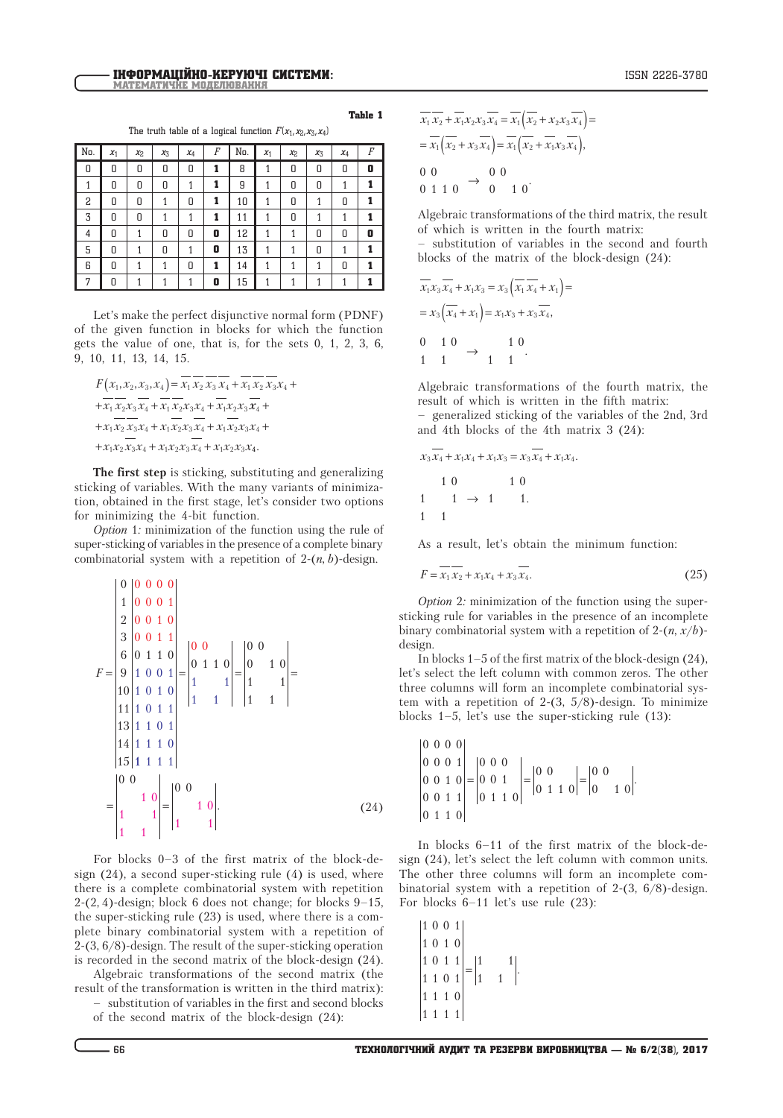The truth table of a logical function  $F(x_1, x_2, x_3, x_4)$ 

| No. | $x_1$ | X <sub>2</sub> | $x_3$ | $x_4$ | $\boldsymbol{F}$ | No. | $x_1$ | X <sub>2</sub> | $x_3$ | $x_4$ | F |
|-----|-------|----------------|-------|-------|------------------|-----|-------|----------------|-------|-------|---|
| 0   | 0     | 0              | 0     | 0     | 1                | 8   | 1     | 0              | 0     | 0     | 0 |
|     | 0     | 0              | 0     | 1     | 1                | 9   |       | 0              | 0     |       |   |
| 2   | 0     | 0              | 1     | 0     | 1                | 10  | 1     | 0              | 1     | 0     |   |
| 3   | 0     | 0              | 1     | 1     | 1                | 11  | 1     | 0              | 1     | 1     |   |
| 4   | 0     | 1              | 0     | 0     | 0                | 12  | 1     |                | 0     | 0     | 0 |
| 5   | 0     | 1              | 0     | 1     | 0                | 13  | 1     |                | 0     | 1     |   |
| 6   | 0     | 1              |       | 0     | 1                | 14  |       |                |       | 0     |   |
| 7   | Π     |                |       |       | 0                | 15  |       |                |       |       |   |

Let's make the perfect disjunctive normal form (PDNF) of the given function in blocks for which the function gets the value of one, that is, for the sets 0, 1, 2, 3, 6, 9, 10, 11, 13, 14, 15.

$$
F(x_1, x_2, x_3, x_4) = \overline{x_1} \overline{x_2} \overline{x_3} \overline{x_4} + \overline{x_1} \overline{x_2} \overline{x_3} x_4 + \n+ \overline{x_1} \overline{x_2} x_3 \overline{x_4} + \overline{x_1} \overline{x_2} x_3 x_4 + \overline{x_1} \overline{x_2} x_3 \overline{x_4} + \n+ x_1 \overline{x_2} \overline{x_3} x_4 + x_1 \overline{x_2} x_3 \overline{x_4} + x_1 \overline{x_2} x_3 x_4 + \n+ x_1 x_2 \overline{x_3} x_4 + x_1 x_2 x_3 \overline{x_4} + x_1 x_2 x_3 x_4.
$$

**The first step** is sticking, substituting and generalizing sticking of variables. With the many variants of minimization, obtained in the first stage, let's consider two options for minimizing the 4-bit function.

*Option* 1*:* minimization of the function using the rule of super-sticking of variables in the presence of a complete binary combinatorial system with a repetition of  $2-(n, b)$ -design.

$$
F = \begin{bmatrix} 0 & 0 & 0 & 0 & 0 \\ 1 & 0 & 0 & 0 & 1 \\ 2 & 0 & 0 & 1 & 0 \\ 3 & 0 & 0 & 1 & 1 \\ 6 & 0 & 1 & 1 & 0 \\ 10 & 1 & 0 & 0 & 1 \\ 10 & 1 & 0 & 1 & 0 \\ 11 & 1 & 0 & 1 & 1 \\ 13 & 1 & 1 & 0 & 1 \\ 14 & 1 & 1 & 1 & 0 \\ 15 & 1 & 1 & 1 & 1 \end{bmatrix} = \begin{bmatrix} 0 & 0 & 0 & 0 \\ 0 & 1 & 1 & 0 \\ 1 & 1 & 1 & 1 \\ 1 & 1 & 1 & 1 \end{bmatrix} = \begin{bmatrix} 0 & 0 & 0 & 0 \\ 1 & 1 & 0 & 0 \\ 1 & 1 & 1 & 1 \\ 1 & 1 & 1 & 1 \end{bmatrix} = \begin{bmatrix} 0 & 0 & 0 & 0 \\ 0 & 0 & 0 & 0 \\ 1 & 1 & 1 & 1 \\ 1 & 1 & 1 & 1 \end{bmatrix}.
$$
 (24)

For blocks 0–3 of the first matrix of the block-design (24), a second super-sticking rule (4) is used, where there is a complete combinatorial system with repetition 2-(2, 4)-design; block 6 does not change; for blocks 9–15, the super-sticking rule (23) is used, where there is a complete binary combinatorial system with a repetition of 2-(3, 6/8)-design. The result of the super-sticking operation is recorded in the second matrix of the block-design (24).

Algebraic transformations of the second matrix (the result of the transformation is written in the third matrix):

– substitution of variables in the first and second blocks

of the second matrix of the block-design (24):

of which is written in the fourth matrix:  
\n– substitution of variables in the second and fourth  
\nblocks of the matrix of the block-design (24):  
\n
$$
\overline{x_1 x_3 x_4} + x_1 x_3 = x_3 (\overline{x_1 x_4} + x_1) =
$$

0 0 0 1 1 0

$$
= x_3 \left( x_4 + x_1 \right) = x_1 x_3 + x_3 x_4,
$$
  
\n0 1 0   
\n1 0   
\n1 1 1

 $x_1 x_2 + x_1 x_2 x_3 x_4 = x_1 (x_2 + x_2 x_3 x_4) =$  $= x_1(x_2 + x_3x_4) = x_1(x_2 + x_1x_3x_4),$ 

> 0 0  $0 \t10$

Algebraic transformations of the fourth matrix, the result of which is written in the fifth matrix: – generalized sticking of the variables of the 2nd, 3rd and 4th blocks of the 4th matrix 3 (24):

Algebraic transformations of the third matrix, the result

$$
x_3x_4 + x_1x_4 + x_1x_3 = x_3x_4 + x_1x_4.
$$
  
1 0 1 0  
1 1 1  $\rightarrow$  1 1.  
1 1 1

As a result, let's obtain the minimum function:

$$
F = \overline{x_1} \, \overline{x_2} + x_1 x_4 + x_3 \, \overline{x_4}.
$$
 (25)

*Option* 2*:* minimization of the function using the supersticking rule for variables in the presence of an incomplete binary combinatorial system with a repetition of  $2-(n, x/b)$ design.

In blocks 1–5 of the first matrix of the block-design (24), let's select the left column with common zeros. The other three columns will form an incomplete combinatorial system with a repetition of 2-(3,  $5/8$ )-design. To minimize blocks 1–5, let's use the super-sticking rule (13):

$$
\begin{vmatrix} 0 & 0 & 0 & 0 \\ 0 & 0 & 0 & 1 \\ 0 & 0 & 1 & 0 \\ 0 & 0 & 1 & 1 \\ 0 & 1 & 1 & 0 \end{vmatrix} = \begin{vmatrix} 0 & 0 & 0 \\ 0 & 0 & 1 \\ 0 & 1 & 1 & 0 \end{vmatrix} = \begin{vmatrix} 0 & 0 & 0 \\ 0 & 1 & 1 & 0 \end{vmatrix} = \begin{vmatrix} 0 & 0 & 0 \\ 0 & 1 & 1 & 0 \end{vmatrix}.
$$

In blocks 6–11 of the first matrix of the block-design (24), let's select the left column with common units. The other three columns will form an incomplete combinatorial system with a repetition of 2-(3, 6/8)-design. For blocks 6–11 let's use rule (23):

$$
\begin{vmatrix} 1 & 0 & 0 & 1 \\ 1 & 0 & 1 & 0 \\ 1 & 0 & 1 & 1 \\ 1 & 1 & 0 & 1 \\ 1 & 1 & 1 & 0 \\ 1 & 1 & 1 & 1 \end{vmatrix} = \begin{vmatrix} 1 & 1 \\ 1 & 1 \end{vmatrix}.
$$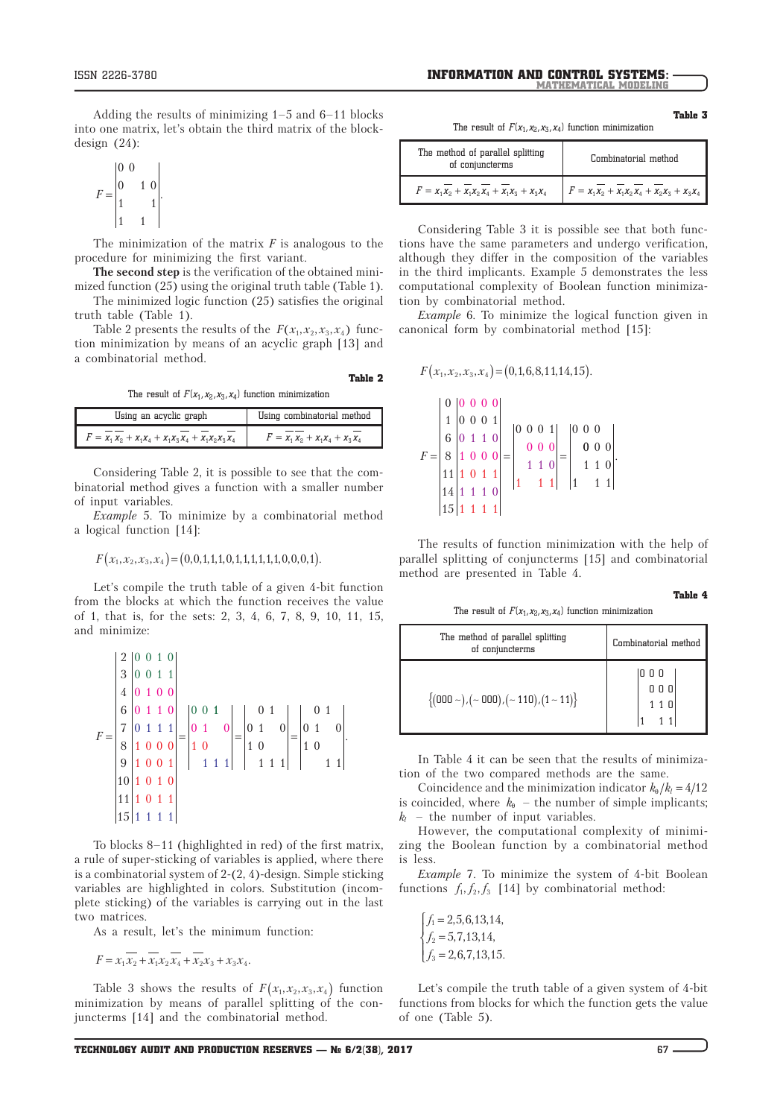Adding the results of minimizing 1–5 and 6–11 blocks into one matrix, let's obtain the third matrix of the blockdesign (24):

$$
F = \begin{bmatrix} 0 & 0 \\ 0 & 1 & 0 \\ 1 & 1 & 1 \\ 1 & 1 & 1 \end{bmatrix}.
$$

The minimization of the matrix *F* is analogous to the procedure for minimizing the first variant.

**The second step** is the verification of the obtained minimized function (25) using the original truth table (Table 1).

The minimized logic function (25) satisfies the original truth table (Table 1).

Table 2 presents the results of the  $F(x_1, x_2, x_3, x_4)$  function minimization by means of an acyclic graph [13] and a combinatorial method.

The result of  $F(x_1, x_2, x_3, x_4)$  function minimization

Table 2

| Using an acyclic graph                                  | Using combinatorial method        |
|---------------------------------------------------------|-----------------------------------|
| $F = x_1 x_2 + x_1 x_4 + x_1 x_3 x_4 + x_1 x_2 x_3 x_4$ | $F = x_1 x_2 + x_1 x_4 + x_3 x_4$ |

Considering Table 2, it is possible to see that the combinatorial method gives a function with a smaller number of input variables.

*Example* 5. To minimize by a combinatorial method a logical function [14]:

$$
F(x_1, x_2, x_3, x_4) = (0, 0, 1, 1, 1, 0, 1, 1, 1, 1, 1, 0, 0, 0, 1).
$$

Let's compile the truth table of a given 4-bit function from the blocks at which the function receives the value of 1, that is, for the sets: 2, 3, 4, 6, 7, 8, 9, 10, 11, 15, and minimize:

$$
F = \begin{bmatrix} 2 & 0 & 0 & 1 & 0 \\ 3 & 0 & 0 & 1 & 1 \\ 4 & 0 & 1 & 0 & 0 \\ 6 & 0 & 1 & 1 & 0 \\ 7 & 0 & 1 & 1 & 1 \\ 8 & 1 & 0 & 0 & 0 \\ 9 & 1 & 0 & 0 & 1 \\ 10 & 1 & 0 & 1 & 0 \\ 11 & 1 & 0 & 1 & 1 \\ 15 & 1 & 1 & 1 & 1 \end{bmatrix} = \begin{bmatrix} 0 & 1 & 0 & 0 & 0 \\ 0 & 1 & 0 & 0 & 0 \\ 1 & 0 & 0 & 0 & 0 \\ 1 & 0 & 1 & 1 & 1 \\ 1 & 1 & 1 & 1 & 1 \end{bmatrix} = \begin{bmatrix} 0 & 1 & 0 & 0 & 0 \\ 0 & 1 & 0 & 0 & 0 \\ 1 & 0 & 1 & 0 & 0 \\ 1 & 1 & 1 & 1 & 1 \\ 1 & 1 & 1 & 1 & 1 \end{bmatrix}.
$$

To blocks 8–11 (highlighted in red) of the first matrix, a rule of super-sticking of variables is applied, where there is a combinatorial system of 2-(2, 4)-design. Simple sticking variables are highlighted in colors. Substitution (incomplete sticking) of the variables is carrying out in the last two matrices.

As a result, let's the minimum function:

$$
F = x_1 \overline{x_2} + \overline{x_1 x_2} \overline{x_4} + \overline{x_2 x_3} + x_3 x_4.
$$

Table 3 shows the results of  $F(x_1, x_2, x_3, x_4)$  function minimization by means of parallel splitting of the conjuncterms [14] and the combinatorial method.

Table 3

The result of  $F(x_1, x_2, x_3, x_4)$  function minimization

| The method of parallel splitting<br>of conjuncterms | Combinatorial method                       |
|-----------------------------------------------------|--------------------------------------------|
| $F = x_1x_2 + x_1x_2x_4 + x_1x_3 + x_3x_4$          | $F = x_1x_2 + x_1x_2x_4 + x_2x_3 + x_3x_4$ |

Considering Table 3 it is possible see that both functions have the same parameters and undergo verification, although they differ in the composition of the variables in the third implicants. Example 5 demonstrates the less computational complexity of Boolean function minimization by combinatorial method.

*Example* 6. To minimize the logical function given in canonical form by combinatorial method [15]:

$$
F(x_1, x_2, x_3, x_4) = (0, 1, 6, 8, 1, 1, 14, 15).
$$

|       | $0 \vert 0 \; 0 \; 0 \; 0 \vert$ |  |     |  |                 |       |                           |            |  |  |
|-------|----------------------------------|--|-----|--|-----------------|-------|---------------------------|------------|--|--|
|       | 10001                            |  |     |  |                 |       |                           |            |  |  |
|       | 6 0110                           |  |     |  |                 |       | $ 0\;0\;0\;1 $ $ 0\;0\;0$ |            |  |  |
|       |                                  |  |     |  |                 |       | $0 0 0$   0 0 0           |            |  |  |
| $F =$ | 8 1000                           |  |     |  |                 |       |                           |            |  |  |
|       | 11 1 0 1 1                       |  |     |  |                 | 1 1 0 |                           |            |  |  |
|       |                                  |  |     |  | $\vert 1 \vert$ | 11    |                           | $ 1 \t11 $ |  |  |
|       | $14$ 1 1 1 0                     |  |     |  |                 |       |                           |            |  |  |
|       | 15                               |  | 111 |  |                 |       |                           |            |  |  |

The results of function minimization with the help of parallel splitting of conjuncterms [15] and combinatorial method are presented in Table 4.

Table 4

The result of  $F(x_1, x_2, x_3, x_4)$  function minimization

| The method of parallel splitting<br>of conjuncterms   | Combinatorial method |
|-------------------------------------------------------|----------------------|
| $\{(000 \sim), (\sim 000), (\sim 110), (1 \sim 11)\}$ | 000<br>000           |

In Table 4 it can be seen that the results of minimization of the two compared methods are the same.

Coincidence and the minimization indicator  $k_{0}/k_{l} = 4/12$ is coincided, where  $k_{\theta}$  – the number of simple implicants;  $k_l$  – the number of input variables.

However, the computational complexity of minimizing the Boolean function by a combinatorial method is less.

*Example* 7. To minimize the system of 4-bit Boolean functions  $f_1, f_2, f_3$  [14] by combinatorial method:

$$
\begin{cases}\nf_1 = 2, 5, 6, 13, 14, \\
f_2 = 5, 7, 13, 14, \\
f_3 = 2, 6, 7, 13, 15.\n\end{cases}
$$

Let's compile the truth table of a given system of 4-bit functions from blocks for which the function gets the value of one (Table 5).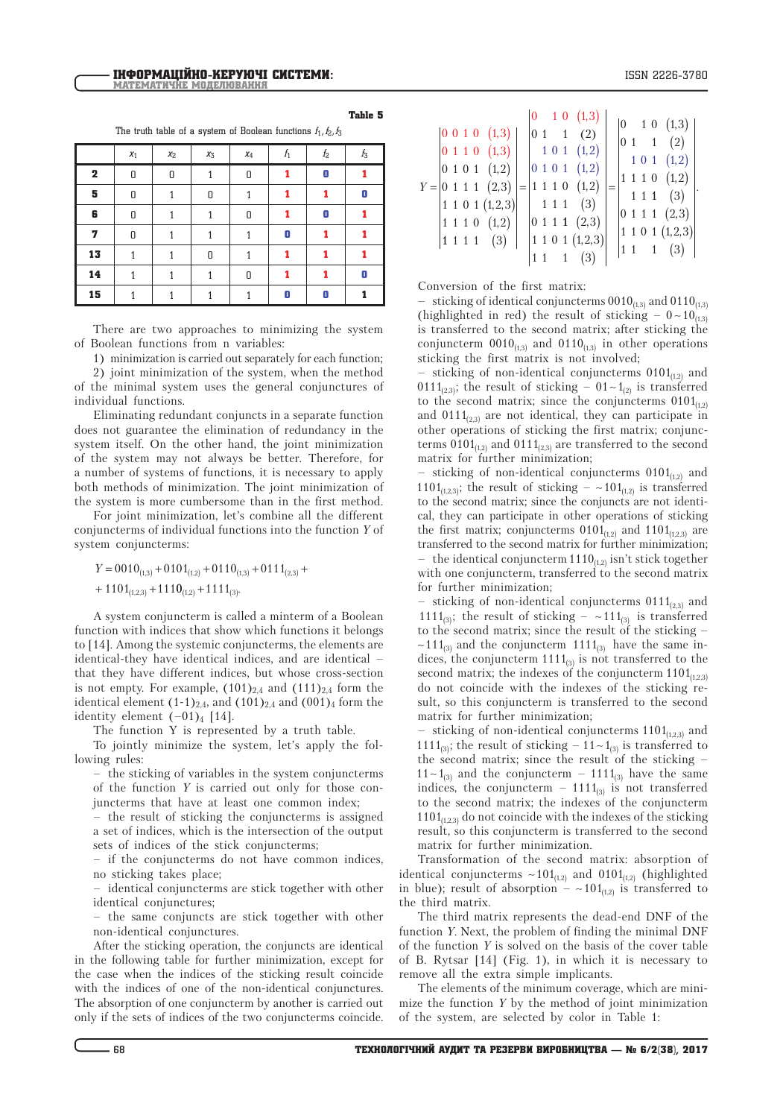ISSN 2226-3780

Table 5

The truth table of a system of Boolean functions  $f_1, f_2, f_3$ 

|             | $x_1$ | $x_2$ | $x_3$ | $x_4$ | $f_1$ | $f_2$ | t3 |
|-------------|-------|-------|-------|-------|-------|-------|----|
| $\mathbf 2$ | 0     | 0     |       | 0     |       | 0     |    |
| 5           | 0     |       | 0     |       |       |       | 0  |
| 6           | 0     |       |       | 0     |       | 0     |    |
| 7           | 0     | 1     |       |       | 0     |       |    |
| 13          |       |       | Π     |       |       |       |    |
| 14          |       |       |       | 0     |       |       | 0  |
| 15          |       |       |       |       | Π     | 0     |    |

There are two approaches to minimizing the system of Boolean functions from n variables:

1) minimization is carried out separately for each function; 2) joint minimization of the system, when the method of the minimal system uses the general conjunctures of

individual functions. Eliminating redundant conjuncts in a separate function does not guarantee the elimination of redundancy in the system itself. On the other hand, the joint minimization of the system may not always be better. Therefore, for a number of systems of functions, it is necessary to apply both methods of minimization. The joint minimization of

the system is more cumbersome than in the first method. For joint minimization, let's combine all the different conjuncterms of individual functions into the function *Y* of

 $Y = 0010_{(1,3)} + 0101_{(1,2)} + 0110_{(1,3)} + 0111_{(2,3)} +$  $+ 1101_{(1,2,3)} + 1110_{(1,2)} + 1111_{(3)}$ 

system conjuncterms:

A system conjuncterm is called a minterm of a Boolean function with indices that show which functions it belongs to [14]. Among the systemic conjuncterms, the elements are identical-they have identical indices, and are identical – that they have different indices, but whose cross-section is not empty. For example,  $(101)_{2,4}$  and  $(111)_{2,4}$  form the identical element  $(1-1)_{2,4}$ , and  $(101)_{2,4}$  and  $(001)_4$  form the identity element  $(-01)_4$  [14].

The function Y is represented by a truth table.

To jointly minimize the system, let's apply the following rules:

– the sticking of variables in the system conjuncterms of the function *Y* is carried out only for those conjuncterms that have at least one common index;

– the result of sticking the conjuncterms is assigned a set of indices, which is the intersection of the output sets of indices of the stick conjuncterms;

– if the conjuncterms do not have common indices, no sticking takes place;

– identical conjuncterms are stick together with other identical conjunctures;

– the same conjuncts are stick together with other non-identical conjunctures.

After the sticking operation, the conjuncts are identical in the following table for further minimization, except for the case when the indices of the sticking result coincide with the indices of one of the non-identical conjunctures. The absorption of one conjuncterm by another is carried out only if the sets of indices of the two conjuncterms coincide.

| $ 1 \t1 \t1 \t(3) $ |  | $ 1\;1\;1\;1\;$ (3) |  | $\begin{array}{ ccc } 0 & 0 & 1 & 0 & (1,3) \end{array}$<br>$\begin{bmatrix} 0 & 1 & 1 & 0 & (1,3) \end{bmatrix}$<br>$ 0 \t1 \t0 \t1 \t(1,2) $<br>$Y =  0 1 1 1 (2,3) $<br>1 1 0 1 (1,2,3)<br>1 1 1 0 (1,2) |  | $ 0\;1$ |  | 1 1 1 | $\overline{1}$ | $1\ 0\ (1,3)$<br>(2)<br>$1\;0\;1\;$ $(1,2)$<br>$\begin{bmatrix} 0 & 1 & 0 & 1 & (1,2) \end{bmatrix}$<br>$=$ 1 1 1 0 (1,2)<br>(3)<br>$ 0\;1\;1\;1\;$ $(2,3)$<br>1 1 0 1 (1,2,3) |  |  |  |  |  | $\begin{array}{ccc} 0 & 1 & 0 & (1,3) \end{array}$<br>$ 0 \t1 \t1 \t(2) $<br>1 0 1 (1,2)<br>1 1 1 0 (1,2)<br>111(3)<br>0 1 1 1 (2,3)<br>1 1 0 1 (1,2,3) |  |
|---------------------|--|---------------------|--|-------------------------------------------------------------------------------------------------------------------------------------------------------------------------------------------------------------|--|---------|--|-------|----------------|--------------------------------------------------------------------------------------------------------------------------------------------------------------------------------|--|--|--|--|--|---------------------------------------------------------------------------------------------------------------------------------------------------------|--|
|---------------------|--|---------------------|--|-------------------------------------------------------------------------------------------------------------------------------------------------------------------------------------------------------------|--|---------|--|-------|----------------|--------------------------------------------------------------------------------------------------------------------------------------------------------------------------------|--|--|--|--|--|---------------------------------------------------------------------------------------------------------------------------------------------------------|--|

Conversion of the first matrix:

sticking of identical conjuncterms  $0010_{(1,3)}$  and  $0110_{(1,3)}$ (highlighted in red) the result of sticking  $-0 \sim 10_{(1,3)}$ is transferred to the second matrix; after sticking the conjuncterm  $0010_{(1,3)}$  and  $0110_{(1,3)}$  in other operations sticking the first matrix is not involved;

sticking of non-identical conjuncterms  $0101_{(1,2)}$  and 0111<sub>(2,3)</sub>; the result of sticking –  $01 - 1$ <sub>(2)</sub> is transferred to the second matrix; since the conjuncterms  $0101_{(1,2)}$ and  $0111_{(2,3)}$  are not identical, they can participate in other operations of sticking the first matrix; conjuncterms  $0101_{(1,2)}$  and  $0111_{(2,3)}$  are transferred to the second matrix for further minimization;

sticking of non-identical conjuncterms  $0101_{(1,2)}$  and 1101<sub>(1,2,3)</sub>; the result of sticking  $-$  ~101<sub>(1,2)</sub> is transferred to the second matrix; since the conjuncts are not identical, they can participate in other operations of sticking the first matrix; conjuncterms  $0101_{(1,2)}$  and  $1101_{(1,2,3)}$  are transferred to the second matrix for further minimization; – the identical conjuncterm  $1110_{(1,2)}$  isn't stick together with one conjuncterm, transferred to the second matrix for further minimization;

- sticking of non-identical conjuncterms  $0111_{(2,3)}$  and 1111<sub>(3)</sub>; the result of sticking –  $\sim$  111<sub>(3)</sub> is transferred to the second matrix; since the result of the sticking –  $\sim$ 111<sub>(3)</sub> and the conjuncterm 1111<sub>(3)</sub> have the same indices, the conjuncterm  $1111_{(3)}$  is not transferred to the second matrix; the indexes of the conjuncterm  $1101_{(1,2,3)}$ do not coincide with the indexes of the sticking result, so this conjuncterm is transferred to the second matrix for further minimization;

- sticking of non-identical conjuncterms  $1101_{(1,2,3)}$  and 1111<sub>(3)</sub>; the result of sticking  $-11\sim1_{(3)}$  is transferred to the second matrix; since the result of the sticking –  $11 - 1_{(3)}$  and the conjuncterm –  $1111_{(3)}$  have the same indices, the conjuncterm –  $1111_{(3)}$  is not transferred to the second matrix; the indexes of the conjuncterm  $1101_{(1,2,3)}$  do not coincide with the indexes of the sticking result, so this conjuncterm is transferred to the second matrix for further minimization.

Transformation of the second matrix: absorption of identical conjuncterms  $\sim 101_{(1,2)}$  and  $0101_{(1,2)}$  (highlighted in blue); result of absorption –  $\sim 101_{(1,2)}$  is transferred to the third matrix.

The third matrix represents the dead-end DNF of the function *Y*. Next, the problem of finding the minimal DNF of the function *Y* is solved on the basis of the cover table of B. Rytsar [14] (Fig. 1), in which it is necessary to remove all the extra simple implicants.

The elements of the minimum coverage, which are minimize the function *Y* by the method of joint minimization of the system, are selected by color in Table 1: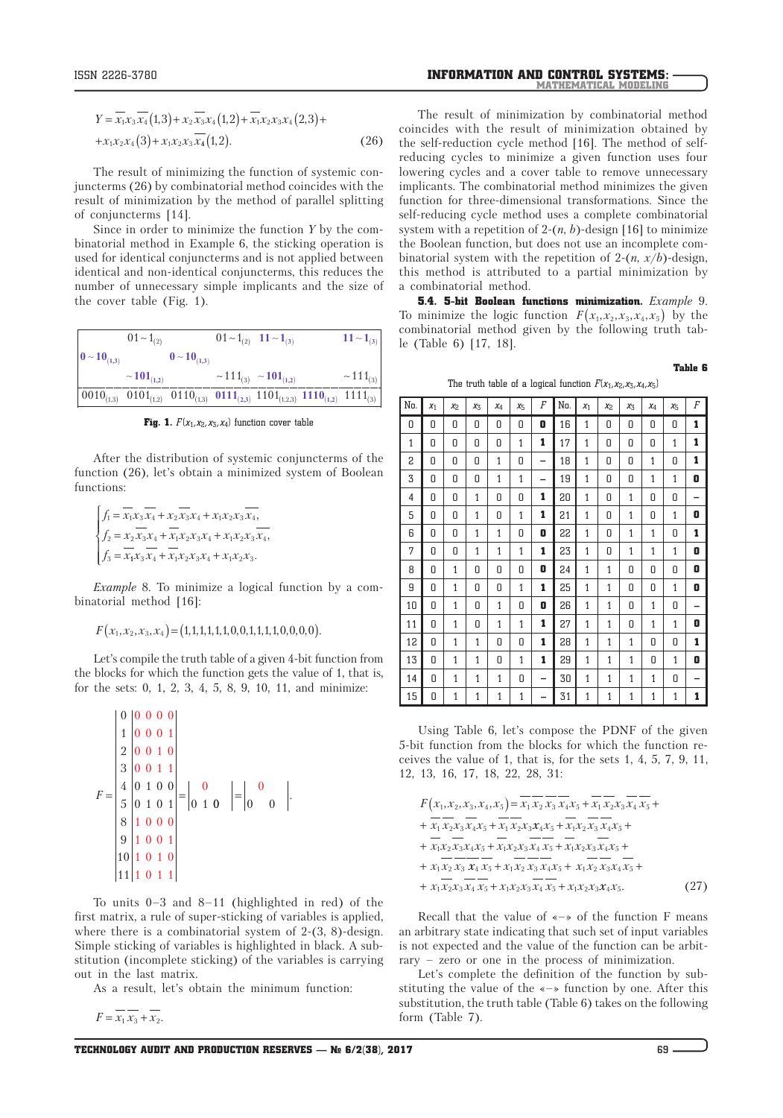The result of minimizing the function of systemic conjuncterms (26) by combinatorial method coincides with the result of minimization by the method of parallel splitting of conjuncterms [14].

Since in order to minimize the function *Y* by the combinatorial method in Example 6, the sticking operation is used for identical conjuncterms and is not applied between identical and non-identical conjuncterms, this reduces the number of unnecessary simple implicants and the size of the cover table (Fig. 1).

|                                       | $01 - 1_{(2)}$              |                                                                                                                                                  | $01 - 1_{(2)}$ $11 - 1_{(3)}$ |                                                       | $11 - 1_{(3)}$            |
|---------------------------------------|-----------------------------|--------------------------------------------------------------------------------------------------------------------------------------------------|-------------------------------|-------------------------------------------------------|---------------------------|
| $\mathbf{0} \sim \mathbf{10}_{(1,3)}$ |                             | $0 - 10_{(1,3)}$                                                                                                                                 |                               |                                                       |                           |
|                                       | $\sim$ 101 <sub>(1,2)</sub> |                                                                                                                                                  |                               | $\sim$ 111 <sub>(3)</sub> $\sim$ 101 <sub>(1,2)</sub> | $\sim$ 111 <sub>(3)</sub> |
|                                       |                             | $\begin{vmatrix} 0.010_{(1,3)} & 0.101_{(1,2)} & 0.0110_{(1,3)} & 0.0111_{(2,3)} & 1.101_{(1,2,3)} & 1.1110_{(1,2)} & 1.111_{(3)} \end{vmatrix}$ |                               |                                                       |                           |

**Fig. 1.**  $F(x_1, x_2, x_3, x_4)$  function cover table

After the distribution of systemic conjuncterms of the function (26), let's obtain a minimized system of Boolean functions:

$$
\begin{cases}\nf_1 = \overline{x_1 x_3} \overline{x_4} + x_2 \overline{x_3 x_4} + x_1 x_2 x_3 \overline{x_4}, \\
f_2 = x_2 \overline{x_3 x_4} + \overline{x_1 x_2 x_3 x_4} + x_1 x_2 x_3 \overline{x_4}, \\
f_3 = \overline{x_1 x_3} \overline{x_4} + \overline{x_1 x_2 x_3 x_4} + x_1 x_2 x_3.\n\end{cases}
$$

*Example* 8. To minimize a logical function by a combinatorial method [16]:

$$
F(x_1, x_2, x_3, x_4) = (1, 1, 1, 1, 1, 1, 0, 0, 1, 1, 1, 1, 0, 0, 0, 0).
$$

Let's compile the truth table of a given 4-bit function from the blocks for which the function gets the value of 1, that is, for the sets: 0, 1, 2, 3, 4, 5, 8, 9, 10, 11, and minimize:

$$
F = \begin{bmatrix} 0 & 0 & 0 & 0 & 0 \\ 1 & 0 & 0 & 0 & 1 \\ 2 & 0 & 0 & 1 & 0 \\ 3 & 0 & 0 & 1 & 1 \\ 4 & 0 & 1 & 0 & 0 \\ 5 & 0 & 1 & 0 & 1 \\ 8 & 1 & 0 & 0 & 0 \\ 9 & 1 & 0 & 0 & 1 \\ 10 & 1 & 0 & 1 & 0 \\ 11 & 1 & 0 & 1 & 1 \end{bmatrix} = \begin{vmatrix} 0 \\ 0 \\ 0 \\ 1 \end{vmatrix} = \begin{vmatrix} 0 \\ 0 \\ 0 \\ 0 \end{vmatrix}.
$$

To units 0–3 and 8–11 (highlighted in red) of the first matrix, a rule of super-sticking of variables is applied, where there is a combinatorial system of 2-(3, 8)-design. Simple sticking of variables is highlighted in black. A substitution (incomplete sticking) of the variables is carrying out in the last matrix.

As a result, let's obtain the minimum function:

 $F = x_1 x_3 + x_2.$ 

The result of minimization by combinatorial method coincides with the result of minimization obtained by the self-reduction cycle method [16]. The method of selfreducing cycles to minimize a given function uses four lowering cycles and a cover table to remove unnecessary implicants. The combinatorial method minimizes the given function for three-dimensional transformations. Since the self-reducing cycle method uses a complete combinatorial system with a repetition of 2-(*n*, *b*)-design [16] to minimize the Boolean function, but does not use an incomplete combinatorial system with the repetition of  $2-(n, x/b)$ -design, this method is attributed to a partial minimization by a combinatorial method.

5.4. 5-bit Boolean functions minimization. *Example* 9. To minimize the logic function  $F(x_1, x_2, x_3, x_4, x_5)$  by the combinatorial method given by the following truth table (Table 6) [17, 18].

Table 6

The truth table of a logical function  $F(x_1, x_2, x_3, x_4, x_5)$ 

| No. | $x_1$ | X <sub>2</sub> | X3           | X4           | $X_{\overline{1}}$ | F | No. | $x_1$        | Х2           | $X_3$        | X4 | X5           | F |
|-----|-------|----------------|--------------|--------------|--------------------|---|-----|--------------|--------------|--------------|----|--------------|---|
| 0   | 0     | 0              | 0            | 0            | 0                  | 0 | 16  | 1            | 0            | 0            | 0  | 0            | 1 |
| 1   | 0     | 0              | 0            | 0            | 1                  | 1 | 17  | 1            | 0            | 0            | 0  | 1            | 1 |
| 2   | 0     | 0              | 0            | $\mathbf{1}$ | 0                  | - | 18  | 1            | 0            | 0            | 1  | 0            | 1 |
| 3   | 0     | 0              | 0            | 1            | 1                  | - | 19  | $\mathbf{1}$ | 0            | 0            | 1  | 1            | 0 |
| 4   | 0     | 0              | $\mathbf{1}$ | 0            | 0                  | 1 | 20  | $\mathbf{1}$ | 0            | 1            | 0  | 0            |   |
| 5   | 0     | 0              | 1            | 0            | $\mathbf{1}$       | 1 | 21  | 1            | 0            | 1            | 0  | $\mathbf{1}$ | 0 |
| 6   | 0     | 0              | $\mathbf{1}$ | $\mathbf{1}$ | 0                  | 0 | 22  | 1            | 0            | $\mathbf{1}$ | 1  | 0            | 1 |
| 7   | 0     | 0              | 1            | $\mathbf{1}$ | 1                  | 1 | 23  | 1            | 0            | $\mathbf{1}$ | 1  | 1            | 0 |
| 8   | 0     | $\mathbf{1}$   | 0            | 0            | 0                  | 0 | 24  | $\mathbf{1}$ | 1            | 0            | 0  | 0            | 0 |
| 9   | 0     | $\mathbf{1}$   | 0            | 0            | 1                  | 1 | 25  | $\mathbf{1}$ | $\mathbf{1}$ | 0            | 0  | $\mathbf{1}$ | 0 |
| 10  | 0     | 1              | 0            | 1            | 0                  | 0 | 26  | 1            | 1            | 0            | 1  | 0            |   |
| 11  | 0     | 1              | 0            | 1            | 1                  | 1 | 27  | 1            | 1            | 0            | 1  | 1            | 0 |
| 12  | 0     | 1              | $\mathbf{1}$ | 0            | 0                  | 1 | 28  | 1            | $\mathbf{1}$ | 1            | 0  | 0            | 1 |
| 13  | 0     | 1              | 1            | 0            | 1                  | 1 | 29  | $\mathbf{1}$ | 1            | 1            | 0  | 1            | 0 |
| 14  | 0     | 1              | 1            | 1            | 0                  | - | 30  | 1            | 1            | 1            | 1  | 0            |   |
| 15  | 0     | 1              | 1            | 1            | 1                  |   | 31  | 1            | 1            | 1            | 1  | 1            | 1 |

Using Table 6, let's compose the PDNF of the given 5-bit function from the blocks for which the function receives the value of 1, that is, for the sets 1, 4, 5, 7, 9, 11, 12, 13, 16, 17, 18, 22, 28, 31:

$$
F(x_1, x_2, x_3, x_4, x_5) = \overline{x_1} \overline{x_2} \overline{x_3} \overline{x_4} \overline{x_5} + \overline{x_1} \overline{x_2} \overline{x_3} \overline{x_4} \overline{x_5} + + \overline{x_1} \overline{x_2} \overline{x_3} \overline{x_4} \overline{x_5} + \overline{x_1} \overline{x_2} \overline{x_3} \overline{x_4} \overline{x_5} + + \overline{x_1} \overline{x_2} \overline{x_3} \overline{x_4} \overline{x_5} + \overline{x_1} \overline{x_2} \overline{x_3} \overline{x_4} \overline{x_5} + \overline{x_1} \overline{x_2} \overline{x_3} \overline{x_4} \overline{x_5} + + \overline{x_1} \overline{x_2} \overline{x_3} \overline{x_4} \overline{x_5} + \overline{x_1} \overline{x_2} \overline{x_3} \overline{x_4} \overline{x_5} + \overline{x_1} \overline{x_2} \overline{x_3} \overline{x_4} \overline{x_5} + + \overline{x_1} \overline{x_2} \overline{x_3} \overline{x_4} \overline{x_5} + \overline{x_1} \overline{x_2} \overline{x_3} \overline{x_4} \overline{x_5} + \overline{x_1} \overline{x_2} \overline{x_3} \overline{x_4} \overline{x_5}.
$$
\n(27)

Recall that the value of «–» of the function F means an arbitrary state indicating that such set of input variables is not expected and the value of the function can be arbitrary – zero or one in the process of minimization.

Let's complete the definition of the function by substituting the value of the «–» function by one. After this substitution, the truth table (Table 6) takes on the following form (Table 7).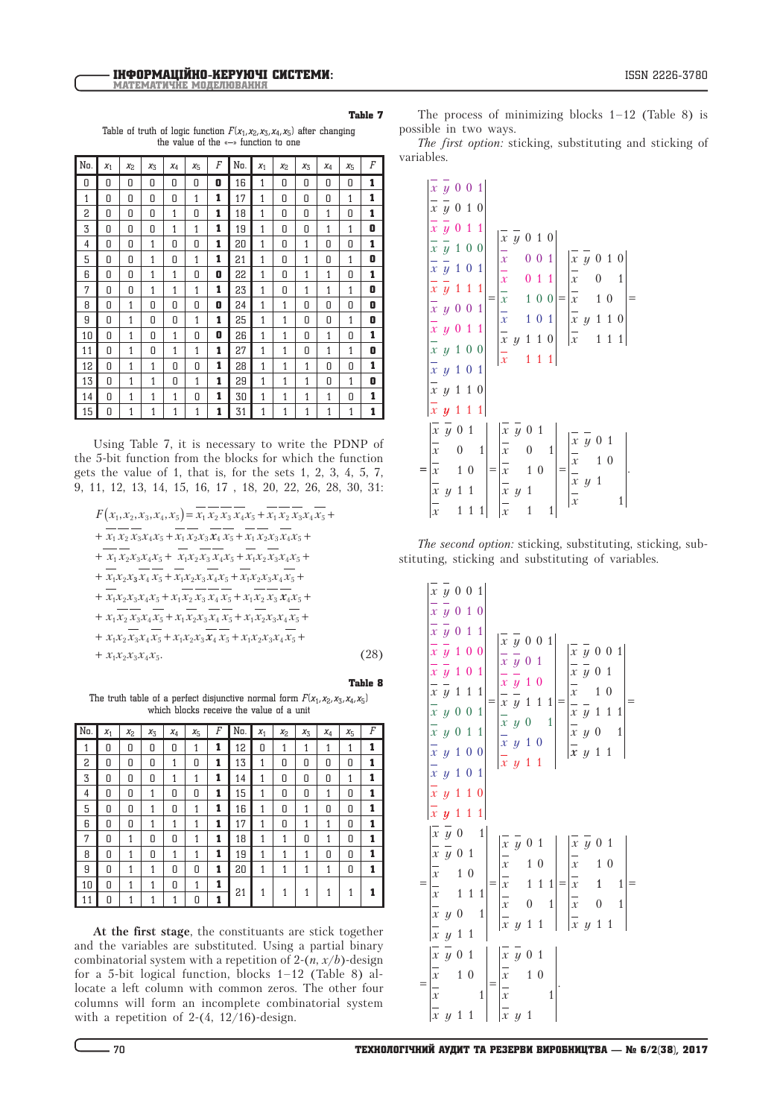Table of truth of logic function  $F(x_1, x_2, x_3, x_4, x_5)$  after changing the value of the «–» function to one

| No. | $x_1$ | $X_{2}$ | $x_3$ | $x_4$ | $X_{\overline{2}}$ | F | No. | $x_1$        | X <sub>2</sub> | $X_{\mathcal{F}}$ | $x_4$ | $X_{\overline{2}}$ | F |
|-----|-------|---------|-------|-------|--------------------|---|-----|--------------|----------------|-------------------|-------|--------------------|---|
| Π   | Π     | Π       | Π     | Π     | Π                  | 0 | 16  | $\mathbf{1}$ | Π              | Π                 | 0     | Π                  | 1 |
| 1   | Π     | Π       | Π     | Π     | 1                  | 1 | 17  | 1            | Π              | Π                 | Π     | 1                  | 1 |
| 2   | 0     | 0       | 0     | 1     | 0                  | 1 | 18  | 1            | 0              | 0                 | 1     | 0                  | 1 |
| 3   | 0     | 0       | 0     | 1     | 1                  | 1 | 19  | 1            | 0              | Π                 | 1     | 1                  | 0 |
| 4   | Π     | 0       | 1     | Π     | 0                  | 1 | 20  | 1            | 0              | 1                 | 0     | 0                  | 1 |
| 5   | Π     | Π       | 1     | Π     | 1                  | 1 | 21  | 1            | Π              | 1                 | Π     | 1                  | 0 |
| 6   | 0     | 0       | 1     | 1     | 0                  | 0 | 22  | 1            | 0              | 1                 | 1     | Π                  | 1 |
| 7   | Π     | Π       | 1     | 1     | $\mathbf{1}$       | 1 | 23  | 1            | Π              | 1                 | 1     | 1                  | 0 |
| R   | Π     | 1       | Π     | Π     | Π                  | 0 | 24  | 1            | 1              | Π                 | Π     | Π                  | 0 |
| 9   | 0     | 1       | Π     | 0     | 1                  | 1 | 25  | 1            | 1              | Π                 | 0     | 1                  | 0 |
| 10  | 0     | 1       | 0     | 1     | 0                  | 0 | 26  | 1            | 1              | 0                 | 1     | 0                  | 1 |
| 11  | Π     | 1       | 0     | 1     | 1                  | 1 | 27  | $\mathbf{1}$ | 1              | Π                 | 1     | 1                  | 0 |
| 12  | Π     | 1       | 1     | Π     | Π                  | 1 | 28  | 1            | 1              | 1                 | Π     | Π                  | 1 |
| 13  | Π     | 1       | 1     | Π     | 1                  | 1 | 29  | 1            | 1              | 1                 | 0     | 1                  | 0 |
| 14  | Π     | 1       | 1     | 1     | Π                  | 1 | 30  | 1            | 1              | 1                 | 1     | Π                  | 1 |
| 15  | Π     | 1       | 1     | 1     | $\mathbf{1}$       | 1 | 31  | 1            | 1              | 1                 | 1     | 1                  | 1 |

Using Table 7, it is necessary to write the PDNP of the 5-bit function from the blocks for which the function gets the value of 1, that is, for the sets 1, 2, 3, 4, 5, 7, 9, 11, 12, 13, 14, 15, 16, 17 , 18, 20, 22, 26, 28, 30, 31:

$$
F(x_1, x_2, x_3, x_4, x_5) = \overline{x_1} \overline{x_2} \overline{x_3} \overline{x_4} \overline{x_5} + \overline{x_1} \overline{x_2} \overline{x_3} \overline{x_4} \overline{x_5} + + \overline{x_1} \overline{x_2} \overline{x_3} \overline{x_4} \overline{x_5} + \overline{x_1} \overline{x_2} \overline{x_3} \overline{x_4} \overline{x_5} + \overline{x_1} \overline{x_2} \overline{x_3} \overline{x_4} \overline{x_5} + + \overline{x_1} \overline{x_2} \overline{x_3} \overline{x_4} \overline{x_5} + \overline{x_1} \overline{x_2} \overline{x_3} \overline{x_4} \overline{x_5} + \overline{x_1} \overline{x_2} \overline{x_3} \overline{x_4} \overline{x_5} + + \overline{x_1} \overline{x_2} \overline{x_3} \overline{x_4} \overline{x_5} + \overline{x_1} \overline{x_2} \overline{x_3} \overline{x_4} \overline{x_5} + \overline{x_1} \overline{x_2} \overline{x_3} \overline{x_4} \overline{x_5} + + \overline{x_1} \overline{x_2} \overline{x_3} \overline{x_4} \overline{x_5} + \overline{x_1} \overline{x_2} \overline{x_3} \overline{x_4} \overline{x_5} + \overline{x_1} \overline{x_2} \overline{x_3} \overline{x_4} \overline{x_5} + + \overline{x_1} \overline{x_2} \overline{x_3} \overline{x_4} \overline{x_5} + \overline{x_1} \overline{x_2} \overline{x_3} \overline{x_4} \overline{x_5} + \overline{x_1} \overline{x_2} \overline{x_3} \overline{x_4} \overline{x_5} + + \overline{x_1} \overline{x_2} \overline{x_3} \overline{x_4} \overline{x_5} + \overline{x_1} \overline{x_2} \overline{x_3} \overline{x_4} \overline{x_5} + \overline{x_1} \overline{x_2} \overline{x_3} \overline{x_4} \overline{x_5}
$$

Table 8

The truth table of a perfect disjunctive normal form  $F(x_1, x_2, x_3, x_4, x_5)$ which blocks receive the value of a unit

| No. | $x_1$ | X <sub>2</sub> | X3 | X4 | $x_{5}$ | $\cal F$ | No. | $x_1$ | X <sub>2</sub> | X3 | $x_4$ | X5 | F |
|-----|-------|----------------|----|----|---------|----------|-----|-------|----------------|----|-------|----|---|
| 1   | 0     | 0              | 0  | 0  | 1       | 1        | 12  | 0     | 1              | 1  | 1     | 1  | 1 |
| 2   | 0     | 0              | 0  | 1  | 0       | 1        | 13  | 1     | 0              | 0  | 0     | 0  | 1 |
| 3   | 0     | 0              | 0  | 1  | 1       | 1        | 14  | 1     | 0              | 0  | 0     | 1  | 1 |
| 4   | 0     | 0              | 1  | 0  | 0       | 1        | 15  | 1     | 0              | 0  | 1     | 0  | 1 |
| 5   | 0     | 0              | 1  | 0  | 1       | 1        | 16  | 1     | 0              | 1  | 0     | 0  | 1 |
| 6   | 0     | 0              | 1  | 1  | 1       | 1        | 17  | 1     | 0              | 1  | 1     | 0  | 1 |
| 7   | 0     | 1              | 0  | 0  | 1       | 1        | 18  | 1     | 1              | 0  | 1     | 0  | 1 |
| 8   | 0     | 1              | 0  | 1  | 1       | 1        | 19  | 1     | 1              | 1  | 0     | 0  | 1 |
| 9   | 0     | 1              | 1  | 0  | 0       | 1        | 20  | 1     | 1              | 1  | 1     | 0  | 1 |
| 10  | 0     | 1              | 1  | 0  | 1       | 1        |     |       |                |    |       |    |   |
| 11  | 0     | 1              | 1  | 1  | 0       |          | 21  | 1     | 1              | 1  | 1     |    |   |

**At the first stage**, the constituants are stick together and the variables are substituted. Using a partial binary combinatorial system with a repetition of  $2-(n, x/b)$ -design for a 5-bit logical function, blocks 1–12 (Table 8) allocate a left column with common zeros. The other four columns will form an incomplete combinatorial system with a repetition of  $2-(4, 12/16)$ -design.

The process of minimizing blocks  $1-12$  (Table 8) is possible in two ways.

*The first option:* sticking, substituting and sticking of variables.

|                                                            | $\frac{1}{x}$ $\frac{1}{y}$ 0 0 1<br>$\frac{1}{x}$ $\frac{1}{y}$ 0 1 0<br>$\frac{1}{x}$ $\frac{1}{y}$ 0 1 1<br>$\frac{1}{x}$ $\frac{1}{y}$ 1 0 0<br>$\frac{1}{x}$ $\frac{1}{y}$ 1 0 1<br>$\frac{x}{x}$ $\frac{y}{y}$ 1 0 1<br>$\frac{1}{x}$ $\frac{y}{y}$ 1 1 1<br>$\frac{x}{x}$ $\frac{y}{y}$ 0 0 1<br>$\frac{x}{x}$ $\frac{y}{y}$ 1 0 0<br>$\frac{x}{x}$ $\frac{y}{y}$ 1 0 1<br>$\frac{x}{x}$ $\frac{y}{y}$ 1 1 0 |                                                  |                                          |                              | $\begin{bmatrix} x & y & 0 & 1 & 0 \end{bmatrix}$<br>$\frac{-x}{x}$<br>$\begin{array}{c}\n\frac{1}{x} \\ \frac{1}{x} \\ \frac{1}{x} \\ \frac{1}{x}\n\end{array}$ |                     | $0\,0$                       | 0 <sub>1</sub><br>100<br>0 <sub>1</sub><br>$1 \ 0$<br>$\mathbf{1}$ | 1<br>$\,1\,$                | $\begin{pmatrix} x & y & 0 & 1 & 0 \end{pmatrix}$<br>$\frac{1}{x}$<br>$\begin{array}{c} \n\cdot \\ \frac{1}{x} \\ \frac{x}{x}\n\end{array}$       | 1 1 0<br>$\mathbf{1}$ | $1\ 0$<br>$\mathbf{1}$             | 1<br>$1\,$ |  |
|------------------------------------------------------------|---------------------------------------------------------------------------------------------------------------------------------------------------------------------------------------------------------------------------------------------------------------------------------------------------------------------------------------------------------------------------------------------------------------------|--------------------------------------------------|------------------------------------------|------------------------------|------------------------------------------------------------------------------------------------------------------------------------------------------------------|---------------------|------------------------------|--------------------------------------------------------------------|-----------------------------|---------------------------------------------------------------------------------------------------------------------------------------------------|-----------------------|------------------------------------|------------|--|
| $\frac{1}{x}$<br>$\frac{1}{x}$<br>$\frac{\overline{x}}{x}$ | $\bar{x}$ y 1 1 1<br>$\bar{x} \bar{y}$ 0 1<br>$\mathcal{Y}$                                                                                                                                                                                                                                                                                                                                                         | $\boldsymbol{0}$<br>$\mathbf{1}$<br>$\mathbf{1}$ | $1\,0$<br>$\overline{1}$<br>$\mathbf{1}$ | $\mathbf{1}$<br>$\mathbf{1}$ | $\frac{1}{x}$<br>$\begin{vmatrix} \frac{-}{x} \\ \frac{-}{x} \\ \frac{-}{x} \end{vmatrix}$                                                                       | $\bar{x} \bar{y} 0$ | $\mathbf{1}$<br>$\mathbf{1}$ | $\mathbf{1}$<br>$1\,0$                                             | $\mathbf{1}$<br>$\mathbf 1$ | $\begin{array}{ccc}\n\overline{x} & \overline{y} & 0 \\ \overline{x} & 1 \\ \overline{x} & y & 1 \\ \overline{x} & \overline{y} & 1\n\end{array}$ |                       | $\overline{1}$<br>$\boldsymbol{0}$ |            |  |

*The second option:* sticking, substituting, sticking, substituting, sticking and substituting of variables.

*x y x y x y x y x y x y x y x y x y x y x y x* 0 0 1 111 0 1 0 0 1 1 1 0 0 1 0 1 0 0 1 0 1 1 1 0 0 1 0 1 1 1 0 *y x y x y x y x y x y x x y x y x y x y x y x y* 111 1 1 0 0 1 1 1 1 0 0 1 0 1 1 0 1 1 1 0 1 0 1 1 0 0 1 1 0 = = *x y x y x y x x x y x y x y x x x x y x y x x* 1 1 0 1 0 1 1 0 1 1 1 0 1 1 1 0 1 1 0 1 1 1 0 1 1 1 0 1 1 0 = === 1 1 0 1 1 1 0 1 1 0 1 1 1 0 1 1 0 1 1 *x x y x y x x x y x y x x x y* = = = .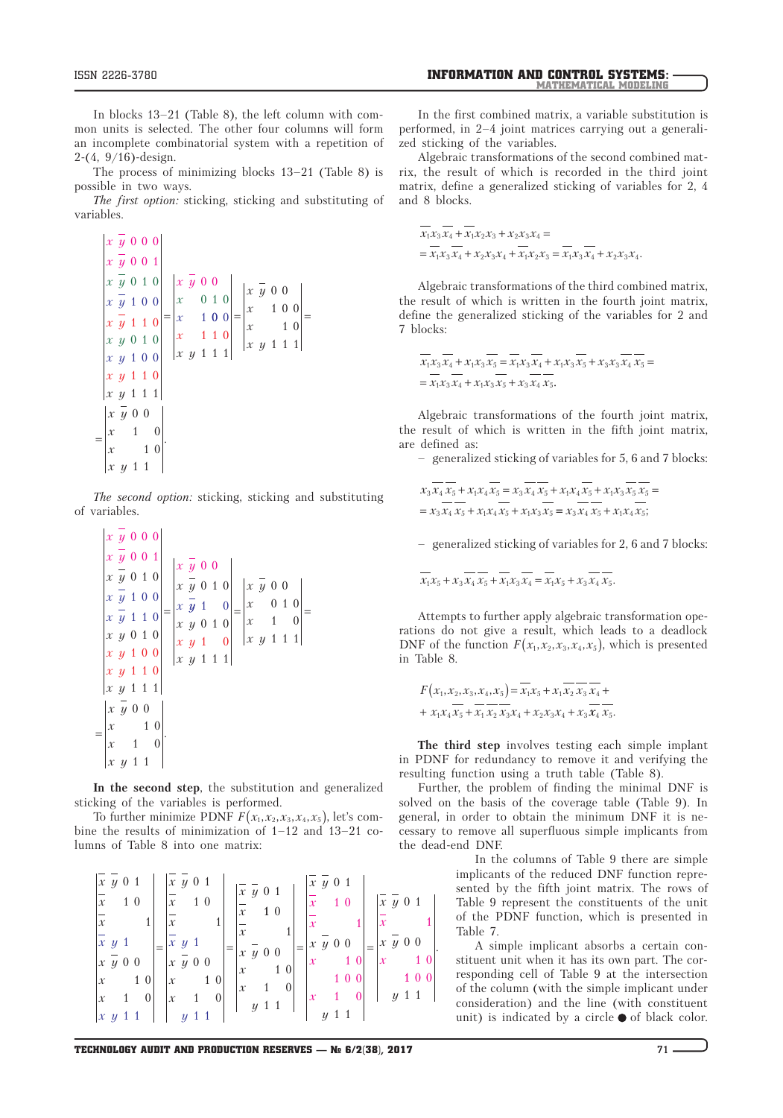$\mathbf{r} = -$ 

 $\sim$   $-$ 

 $\sim$ 

In blocks 13–21 (Table 8), the left column with common units is selected. The other four columns will form an incomplete combinatorial system with a repetition of 2-(4, 9/16)-design.

The process of minimizing blocks 13–21 (Table 8) is possible in two ways.

*The first option:* sticking, sticking and substituting of variables.

$$
\begin{vmatrix} x & y & 0 & 0 & 0 \ x & \overline{y} & 0 & 0 & 1 \ x & \overline{y} & 0 & 1 & 0 \ x & \overline{y} & 1 & 0 & 0 \ x & \overline{y} & 1 & 1 & 0 \ x & y & 0 & 1 & 0 \ x & y & 1 & 0 & 0 \ x & y & 1 & 1 & 1 \ x & y & 1 & 1 & 1 \end{vmatrix} = \begin{vmatrix} x & \overline{y} & 0 & 0 \\ x & 0 & 1 & 0 \\ x & 1 & 0 & 0 \\ x & 1 & 1 & 0 \\ x & y & 1 & 1 & 1 \end{vmatrix} = \begin{vmatrix} x & \overline{y} & 0 & 0 \\ x & 1 & 0 & 0 \\ x & 1 & 1 & 1 \\ x & y & 1 & 1 & 1 \end{vmatrix} = \begin{vmatrix} x & \overline{y} & 0 & 0 \\ x & 1 & 0 & 0 \\ x & y & 1 & 1 & 1 \end{vmatrix}
$$
  
\n
$$
= \begin{vmatrix} x & \overline{y} & 0 & 0 \\ x & 1 & 0 \\ x & y & 1 & 1 \end{vmatrix}.
$$

*The second option:* sticking, sticking and substituting of variables.

$$
\begin{vmatrix} x & y & 0 & 0 & 0 \ x & \overline{y} & 0 & 0 & 1 \ x & \overline{y} & 0 & 1 & 0 \ x & \overline{y} & 1 & 0 & 0 \ x & \overline{y} & 1 & 1 & 0 \ x & y & 0 & 1 & 0 \ x & y & 0 & 1 & 0 \ x & y & 1 & 0 & 0 \ x & y & 1 & 0 & 0 \ x & y & 1 & 1 & 0 \ x & y & 1 & 1 & 1 \end{vmatrix} = \begin{vmatrix} x & \overline{y} & 0 & 0 \\ x & \overline{y} & 0 & 1 & 0 \\ x & \overline{y} & 1 & 0 & 0 \\ x & y & 1 & 1 & 0 \\ x & y & 1 & 1 & 1 \end{vmatrix} = \begin{vmatrix} x & \overline{y} & 0 & 0 \\ x & \overline{y} & 0 & 0 \\ x & y & 1 & 1 \\ x & y & 1 & 1 \end{vmatrix} = \begin{vmatrix} x & \overline{y} & 0 & 0 \\ x & 0 & 1 & 0 \\ x & y & 1 & 1 \end{vmatrix} = \begin{vmatrix} x & \overline{y} & 0 & 0 \\ x & \overline{y} & 1 & 1 \\ x & y & 1 & 1 \end{vmatrix}
$$

**In the second step**, the substitution and generalized sticking of the variables is performed.

To further minimize PDNF  $F(x_1, x_2, x_3, x_4, x_5)$ , let's combine the results of minimization of 1–12 and 13–21 columns of Table 8 into one matrix:

$$
\begin{bmatrix} \overline{x} & \overline{y} & 0 & 1 \\ \overline{x} & 1 & 0 & \overline{x} & 1 & 0 \\ \overline{x} & 1 & 0 & \overline{x} & 1 & 0 \\ \overline{x} & \overline{y} & 0 & 0 & \overline{x} & \overline{y} & 0 & 0 \\ \overline{x} & 1 & 0 & \overline{x} & \overline{y} & 0 & 0 \\ \overline{x} & 1 & 0 & \overline{x} & 1 & 0 \\ \overline{x} & 1 & 0 & \overline{x} & 1 & 0 \\ \overline{x} & 1 & 0 & \overline{x} & 1 & 0 \\ \overline{x} & 1 & 0 & \overline{x} & 1 & 0 \\ \overline{x} & 1 & 0 & \overline{x} & 1 & 0 \\ \overline{x} & 1 & 0 & \overline{x} & 1 & 0 \\ \overline{x} & 1 & 0 & \overline{x} & 1 & 0 \\ \overline{x} & 1 & 0 & \overline{x} & 1 & 0 \\ \overline{x} & 1 & 0 & \overline{x} & 1 & 0 \\ \overline{x} & 1 & 0 & \overline{x} & 1 & 0 \\ \overline{x} & 1 & 0 & \overline{x} & 1 & 0 \\ \overline{x} & 1 & 0 & \overline{x} & 1 & 0 \\ \overline{x} & 1 & 0 & \overline{x} & 1 & 0 \\ \overline{x} & 1 & 0 & \overline{x} & 1 & 0 \\ \overline{x} & 1 & 0 & \overline{x} & 1 & 0 \\ \overline{x} & 1 & 0 & \overline{x} & 1 & 0 \\ \overline{x} & 1 & 0 & \overline{x} & 1 & 0 \\ \overline{x} & 1 & 0 & \overline{x} & 1 & 0 \\ \overline{x} & 1 & 0 & \overline{x} & 1 & 0 \\ \overline{x} & 1 & 0 & \overline{x} & 1 & 0 \\ \overline{x} & 1 & 0 & \overline{x} & 1 & 0 \\ \overline{x} & 1 & 0 & \overline{x} & 1 & 0 \\ \overline{x} & 1 & 0 & \overline{x} & 1 & 0 \\ \overline{x} & 1 & 0 & \overline{x} & 1 & 0 \\ \overline{x} & 1 & 0 & \overline{x} & 1 & 0 \\ \overline{x} & 1 & 0 & \overline{x} &
$$

In the first combined matrix, a variable substitution is performed, in 2–4 joint matrices carrying out a generalized sticking of the variables.

Algebraic transformations of the second combined matrix, the result of which is recorded in the third joint matrix, define a generalized sticking of variables for 2, 4 and 8 blocks.

$$
\overline{x_1x_3x_4} + \overline{x_1x_2x_3} + x_2x_3x_4 =
$$
  
=  $\overline{x_1x_3x_4} + x_2x_3x_4 + \overline{x_1x_2x_3} = \overline{x_1x_3x_4} + x_2x_3x_4$ .

Algebraic transformations of the third combined matrix, the result of which is written in the fourth joint matrix, define the generalized sticking of the variables for 2 and 7 blocks:

$$
\overline{x_1 x_3 x_4} + x_1 x_3 \overline{x_5} = \overline{x_1 x_3 x_4} + x_1 x_3 \overline{x_5} + x_3 x_3 \overline{x_4} \overline{x_5} = \overline{x_1 x_3 x_4} + x_1 x_3 \overline{x_5} + x_3 \overline{x_4} \overline{x_5}.
$$

Algebraic transformations of the fourth joint matrix, the result of which is written in the fifth joint matrix, are defined as:

– generalized sticking of variables for 5, 6 and 7 blocks:

$$
x_3 x_4 \overline{x_5} + x_1 x_4 \overline{x_5} = x_3 \overline{x_4} \overline{x_5} + x_1 x_4 \overline{x_5} + x_1 x_3 \overline{x_5} \overline{x_5} =
$$
  
=  $x_3 \overline{x_4} \overline{x_5} + x_1 x_4 \overline{x_5} + x_1 x_3 \overline{x_5} = x_3 \overline{x_4} \overline{x_5} + x_1 x_4 \overline{x_5};$ 

– generalized sticking of variables for 2, 6 and 7 blocks:

$$
\overline{x_1x_5} + x_3x_4x_5 + x_1x_3x_4 = \overline{x_1x_5} + x_3x_4x_5.
$$

Attempts to further apply algebraic transformation operations do not give a result, which leads to a deadlock DNF of the function  $F(x_1, x_2, x_3, x_4, x_5)$ , which is presented in Table 8.

$$
F(x_1, x_2, x_3, x_4, x_5) = \overline{x_1 x_5 + x_1 x_2} \overline{x_3} \overline{x_4} + x_1 x_4 \overline{x_5} + \overline{x_1} \overline{x_2} \overline{x_3} \overline{x_4} + x_2 x_3 x_4 + x_3 \overline{x_4} \overline{x_5}.
$$

**The third step** involves testing each simple implant in PDNF for redundancy to remove it and verifying the resulting function using a truth table (Table 8).

Further, the problem of finding the minimal DNF is solved on the basis of the coverage table (Table 9). In general, in order to obtain the minimum DNF it is necessary to remove all superfluous simple implicants from the dead-end DNF.

> In the columns of Table 9 there are simple implicants of the reduced DNF function represented by the fifth joint matrix. The rows of Table 9 represent the constituents of the unit of the PDNF function, which is presented in Table 7.

> A simple implicant absorbs a certain constituent unit when it has its own part. The corresponding cell of Table 9 at the intersection of the column (with the simple implicant under consideration) and the line (with constituent unit) is indicated by a circle  $\bullet$  of black color.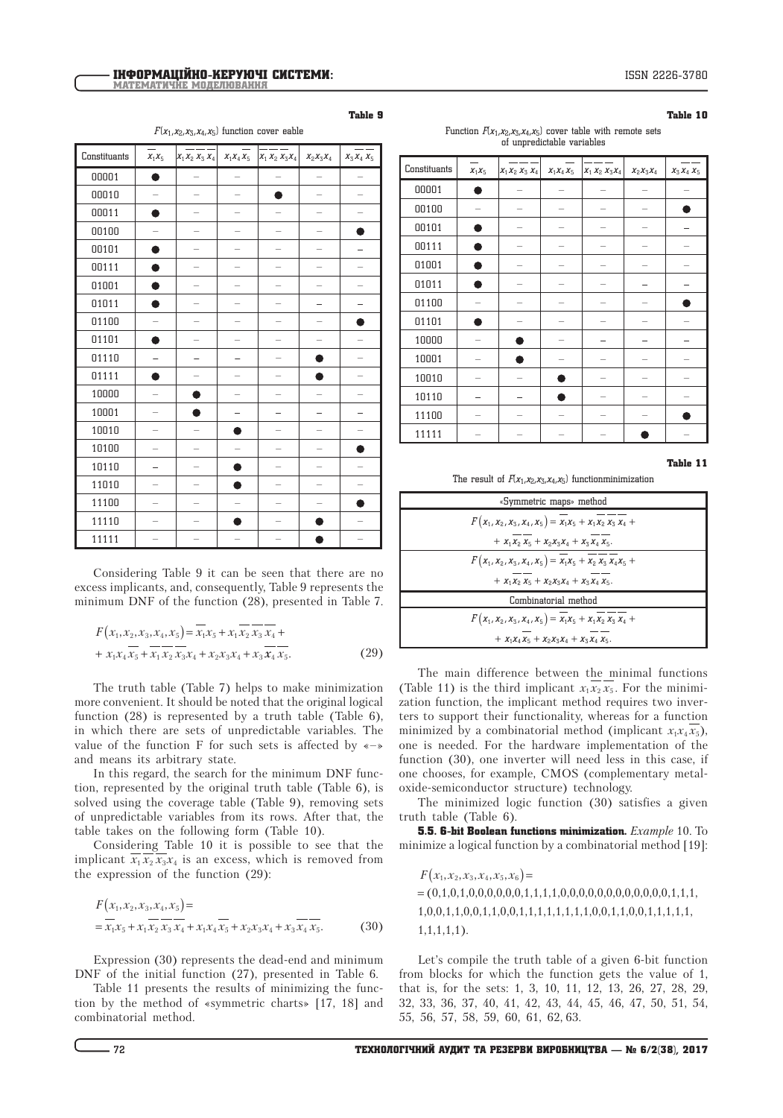Table 10

| $F(x_1, x_2, x_3, x_4, x_5)$ function cover eable |
|---------------------------------------------------|
|---------------------------------------------------|

| Constituants | $X_1X_5$ | $ x_1x_2x_3x_4 $ | $X_1X_4X_5$ | $x_1 x_2 x_3 x_4$ | $X_2X_3X_4$ | $x_3x_4x_5$ |
|--------------|----------|------------------|-------------|-------------------|-------------|-------------|
| 00001        |          |                  |             |                   |             |             |
| 00010        |          |                  |             |                   |             |             |
| 00011        |          |                  |             |                   |             |             |
| 00100        |          |                  |             |                   |             |             |
| 00101        |          |                  |             |                   |             |             |
| 00111        |          |                  |             |                   |             |             |
| 01001        | Δ        |                  |             |                   |             |             |
| 01011        |          |                  |             |                   |             |             |
| 01100        |          |                  |             |                   |             |             |
| 01101        |          |                  |             |                   |             |             |
| 01110        |          |                  |             |                   |             |             |
| 01111        |          |                  |             |                   |             |             |
| 10000        |          |                  |             |                   |             |             |
| 10001        |          |                  |             |                   |             |             |
| 10010        |          |                  |             |                   |             |             |
| 10100        |          |                  |             |                   |             |             |
| 10110        |          |                  |             |                   |             |             |
| 11010        |          |                  |             |                   |             |             |
| 11100        |          |                  |             |                   |             |             |
| 11110        |          |                  |             |                   |             |             |
| 11111        |          |                  |             |                   |             |             |

Considering Table 9 it can be seen that there are no excess implicants, and, consequently, Table 9 represents the minimum DNF of the function (28), presented in Table 7.

$$
F(x_1, x_2, x_3, x_4, x_5) = \overline{x_1 x_5 + x_1 x_2} \overline{x_3} \overline{x_4} ++ x_1 x_4 \overline{x_5} + \overline{x_1} \overline{x_2} \overline{x_3} \overline{x_4} + x_2 x_3 x_4 + x_3 \overline{x_4} \overline{x_5}.
$$
 (29)

The truth table (Table 7) helps to make minimization more convenient. It should be noted that the original logical function  $(28)$  is represented by a truth table (Table 6), in which there are sets of unpredictable variables. The value of the function F for such sets is affected by  $\leftarrow$ and means its arbitrary state.

In this regard, the search for the minimum DNF function, represented by the original truth table (Table 6), is solved using the coverage table (Table 9), removing sets of unpredictable variables from its rows. After that, the table takes on the following form (Table 10).

Considering Table 10 it is possible to see that the implicant  $\overline{x_1}\overline{x_2}\overline{x_3}x_4$  is an excess, which is removed from the expression of the function (29):

$$
F(x_1, x_2, x_3, x_4, x_5) =
$$
  
=  $x_1 x_5 + x_1 x_2 x_3 x_4 + x_1 x_4 x_5 + x_2 x_3 x_4 + x_3 x_4 x_5.$  (30)

Expression (30) represents the dead-end and minimum DNF of the initial function (27), presented in Table 6.

Table 11 presents the results of minimizing the function by the method of «symmetric charts» [17, 18] and combinatorial method.

| Function $F(x_1, x_2, x_3, x_4, x_5)$ cover table with remote sets |  |  |  |
|--------------------------------------------------------------------|--|--|--|
| of unpredictable variables                                         |  |  |  |

| Constituants | $X_1X_5$ | $x_1x_2x_3x_4$ | $X_1X_4X_5$ | $X_1 X_2 X_3 X_4$ | $X_2X_3X_4$ | $X_3 X_4 X_5$ |
|--------------|----------|----------------|-------------|-------------------|-------------|---------------|
| 00001        |          |                |             |                   |             |               |
| 00100        |          |                |             |                   |             |               |
| 00101        |          |                |             |                   |             |               |
| 00111        |          |                |             |                   |             |               |
| 01001        |          |                |             |                   |             |               |
| 01011        |          |                |             |                   |             |               |
| 01100        |          |                |             |                   |             |               |
| 01101        |          |                |             |                   |             |               |
| 10000        |          |                |             |                   |             |               |
| 10001        |          |                |             |                   |             |               |
| 10010        |          |                |             |                   |             |               |
| 10110        |          |                |             |                   |             |               |
| 11100        |          |                |             |                   |             |               |
| 11111        |          |                |             |                   |             |               |

Table 11

The result of  $F(x_1, x_2, x_3, x_4, x_5)$  functionminimization

| «Symmetric maps» method                                                                   |  |
|-------------------------------------------------------------------------------------------|--|
| $F(x_1, x_2, x_3, x_4, x_5) = \overline{x_1x_5 + x_1x_2} \overline{x_3} \overline{x_4} +$ |  |
| + $X_1X_2X_5 + X_2X_3X_4 + X_3X_4X_5$ .                                                   |  |
| $F(x_1, x_2, x_3, x_4, x_5) = \overline{x_1x_5 + x_2x_3x_4x_5 + x_4x_5}$                  |  |
| + $X_1 X_2 X_5 + X_2 X_3 X_4 + X_3 X_4 X_5$ .                                             |  |
| Combinatorial method                                                                      |  |
| $F(x_1, x_2, x_3, x_4, x_5) = \overline{x_1 x_5 + x_1 x_2 x_3 x_4} +$                     |  |
| $+ X_1 X_4 X_5 + X_2 X_3 X_4 + X_3 X_4 X_5.$                                              |  |

The main difference between the minimal functions (Table 11) is the third implicant  $x_1 x_2 x_5$ . For the minimization function, the implicant method requires two inverters to support their functionality, whereas for a function minimized by a combinatorial method (implicant  $x_1 x_4 \overline{x_5}$ ), one is needed. For the hardware implementation of the function (30), one inverter will need less in this case, if one chooses, for example, CMOS (complementary metaloxide-semiconductor structure) technology.

The minimized logic function (30) satisfies a given truth table (Table 6).

5.5. 6-bit Boolean functions minimization. *Example* 10. To minimize a logical function by a combinatorial method [19]:

 $F(x_1, x_2, x_3, x_4, x_5, x_6) =$ = (0,1,0,1,0,0,0,0,0,0,1,1,1,1,0,0,0,0,0,0,0,0,0,0,0,0,1,1,1, 1,0,0,1,1,0,0,1,1,0,0,1,1,1,1,1,1,1,1,0,0,1,1,0,0,1,1,1,1,1, 1,1,1,1,1).

Let's compile the truth table of a given 6-bit function from blocks for which the function gets the value of 1, that is, for the sets: 1, 3, 10, 11, 12, 13, 26, 27, 28, 29, 32, 33, 36, 37, 40, 41, 42, 43, 44, 45, 46, 47, 50, 51, 54, 55, 56, 57, 58, 59, 60, 61, 62, 63.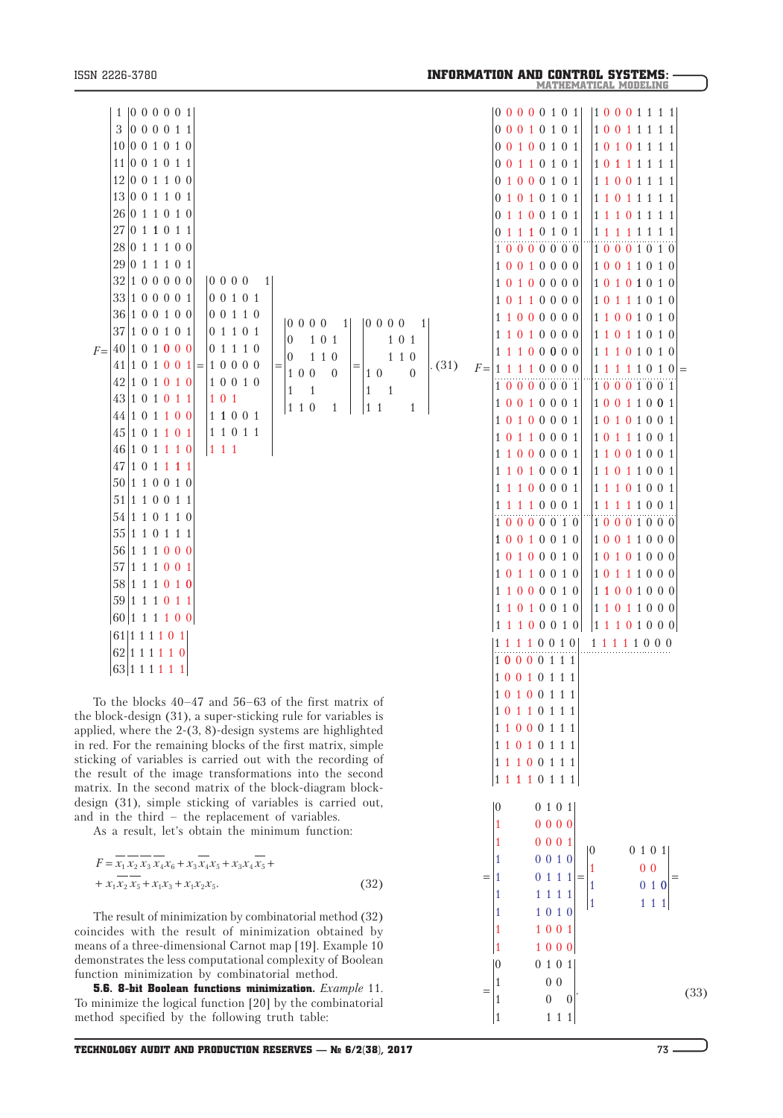0 1 1 1 0 111 1 0 0 1 0 111 1 1 0 1 0 1 1 1 1 1 0 1 0 111 1 1 1 1 0 111

 $= |1 \t01111| =$ 

1 1111 1 1 0 1 0

1 0 0 1 0

1 1 0 0 1 1 1 000

0 0 1 0 1  $1$  0 0 1 0 0 1 111

 $0 \t 0 \t 1 \t 0 \t 1$ 

1 0000 1 000 1

To the blocks 40–47 and 56–63 of the first matrix of the block-design (31), a super-sticking rule for variables is applied, where the 2-(3, 8)-design systems are highlighted in red. For the remaining blocks of the first matrix, simple sticking of variables is carried out with the recording of the result of the image transformations into the second matrix. In the second matrix of the block-diagram blockdesign (31), simple sticking of variables is carried out, and in the third – the replacement of variables.

As a result, let's obtain the minimum function:

$$
F = \overline{x_1} \overline{x_2} \overline{x_3} \overline{x_4} \overline{x_6} + x_3 \overline{x_4} \overline{x_5} + x_3 x_4 \overline{x_5} +
$$
  
+ 
$$
x_1 \overline{x_2} \overline{x_5} + x_1 x_3 + x_1 x_2 x_5.
$$
 (32)

The result of minimization by combinatorial method (32) coincides with the result of minimization obtained by means of a three-dimensional Carnot map [19]. Example 10 demonstrates the less computational complexity of Boolean function minimization by combinatorial method.

5.6. 8-bit Boolean functions minimization. *Example* 11. To minimize the logical function [20] by the combinatorial method specified by the following truth table:

0 0 1 0 1

1 0 1 0

=

1 0 0

1 111

 $=$   $\begin{bmatrix} 1 & 0 & 0 \\ 0 & 0 & 0 \end{bmatrix}$  (33)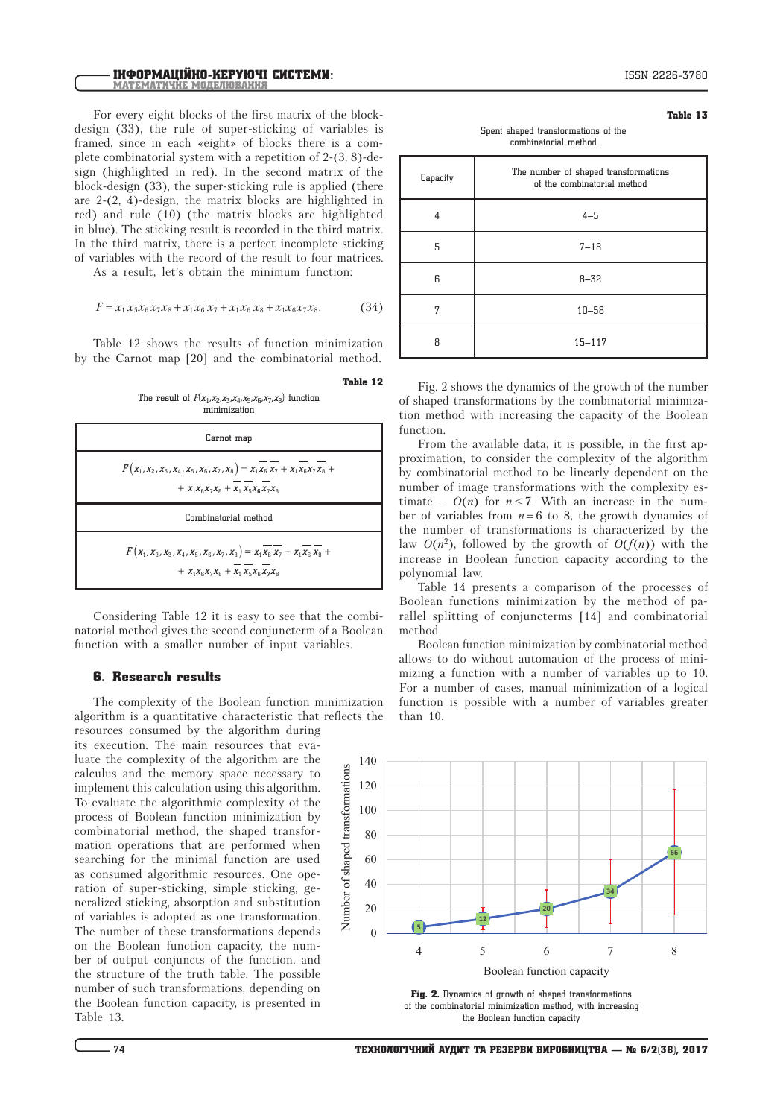For every eight blocks of the first matrix of the blockdesign (33), the rule of super-sticking of variables is framed, since in each «eight» of blocks there is a complete combinatorial system with a repetition of 2-(3, 8)-design (highlighted in red). In the second matrix of the block-design (33), the super-sticking rule is applied (there are 2-(2, 4)-design, the matrix blocks are highlighted in red) and rule (10) (the matrix blocks are highlighted in blue). The sticking result is recorded in the third matrix. In the third matrix, there is a perfect incomplete sticking of variables with the record of the result to four matrices.

As a result, let's obtain the minimum function:

$$
F = \overline{x_1} \overline{x_5} x_6 \overline{x_7} x_8 + x_1 \overline{x_6} \overline{x_7} + x_1 \overline{x_6} \overline{x_8} + x_1 x_6 x_7 x_8. \tag{34}
$$

Table 12 shows the results of function minimization by the Carnot map [20] and the combinatorial method.

The result of  $F(x_1, x_2, x_3, x_4, x_5, x_6, x_7, x_8)$  function minimization

Table 12

Nu

mber of shaped transfor

mations

| Carnot map                                                                                                                                                                 |
|----------------------------------------------------------------------------------------------------------------------------------------------------------------------------|
| $F(x_1, x_2, x_3, x_4, x_5, x_6, x_7, x_8) = x_1 \overline{x_6} \overline{x_7} + x_1 \overline{x_6} \overline{x_7} \overline{x_8} +$<br>+ $X_1X_2X_7X_8 + X_1X_5X_8X_7X_8$ |
| Combinatorial method                                                                                                                                                       |
| $F(x_1, x_2, x_3, x_4, x_5, x_6, x_7, x_8) = x_1 \overline{x_6} \overline{x_7} + x_1 \overline{x_6} \overline{x_8} +$<br>+ $X_1X_2X_7X_8 + X_1X_5X_8X_7X_8$                |

Considering Table 12 it is easy to see that the combinatorial method gives the second conjuncterm of a Boolean function with a smaller number of input variables.

## 6. Research results

The complexity of the Boolean function minimization algorithm is a quantitative characteristic that reflects the resources consumed by the algorithm during

its execution. The main resources that evaluate the complexity of the algorithm are the calculus and the memory space necessary to implement this calculation using this algorithm. To evaluate the algorithmic complexity of the process of Boolean function minimization by combinatorial method, the shaped transformation operations that are performed when searching for the minimal function are used as consumed algorithmic resources. One operation of super-sticking, simple sticking, generalized sticking, absorption and substitution of variables is adopted as one transformation. The number of these transformations depends on the Boolean function capacity, the number of output conjuncts of the function, and the structure of the truth table. The possible number of such transformations, depending on the Boolean function capacity, is presented in Table 13.

Spent shaped transformations of the combinatorial method

| Capacity | The number of shaped transformations<br>of the combinatorial method |
|----------|---------------------------------------------------------------------|
| 4        | $4 - 5$                                                             |
| 5        | $7 - 18$                                                            |
| 6        | $8 - 32$                                                            |
| 7        | $10 - 58$                                                           |
| Я        | $15 - 117$                                                          |

Fig. 2 shows the dynamics of the growth of the number of shaped transformations by the combinatorial minimization method with increasing the capacity of the Boolean function.

From the available data, it is possible, in the first approximation, to consider the complexity of the algorithm by combinatorial method to be linearly dependent on the number of image transformations with the complexity estimate –  $O(n)$  for  $n < 7$ . With an increase in the number of variables from  $n = 6$  to 8, the growth dynamics of the number of transformations is characterized by the law  $O(n^2)$ , followed by the growth of  $O(f(n))$  with the increase in Boolean function capacity according to the polynomial law.

Table 14 presents a comparison of the processes of Boolean functions minimization by the method of parallel splitting of conjuncterms [14] and combinatorial method.

Boolean function minimization by combinatorial method allows to do without automation of the process of minimizing a function with a number of variables up to 10. For a number of cases, manual minimization of a logical function is possible with a number of variables greater than 10.



Fig. 2. Dynamics of growth of shaped transformations of the combinatorial minimization method, with increasing the Boolean function capacity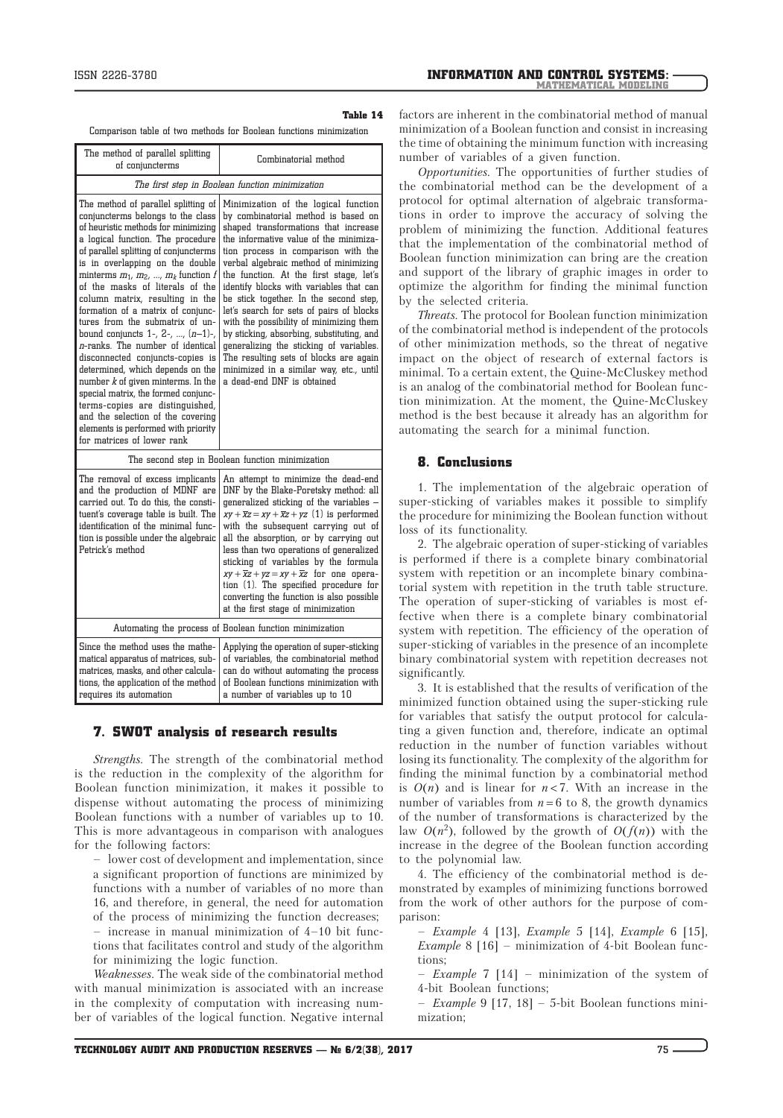Comparison table of two methods for Boolean functions minimization

| The method of parallel splitting<br>of conjuncterms                                                                                                                                                                                                                                                                                                                                                                                                                                                                                                                                                                                                                                                                                                                                                              | Combinatorial method                                                                                                                                                                                                                                                                                                                                                                                                                                                                                                                                                                                                                                                            |
|------------------------------------------------------------------------------------------------------------------------------------------------------------------------------------------------------------------------------------------------------------------------------------------------------------------------------------------------------------------------------------------------------------------------------------------------------------------------------------------------------------------------------------------------------------------------------------------------------------------------------------------------------------------------------------------------------------------------------------------------------------------------------------------------------------------|---------------------------------------------------------------------------------------------------------------------------------------------------------------------------------------------------------------------------------------------------------------------------------------------------------------------------------------------------------------------------------------------------------------------------------------------------------------------------------------------------------------------------------------------------------------------------------------------------------------------------------------------------------------------------------|
| The first step in Boolean function minimization                                                                                                                                                                                                                                                                                                                                                                                                                                                                                                                                                                                                                                                                                                                                                                  |                                                                                                                                                                                                                                                                                                                                                                                                                                                                                                                                                                                                                                                                                 |
| The method of parallel splitting of<br>conjuncterms belongs to the class<br>of heuristic methods for minimizing<br>a logical function. The procedure<br>of parallel splitting of conjuncterms<br>is in overlapping on the double<br>minterms $m_1, m_2, , m_k$ function f<br>of the masks of literals of the<br>column matrix, resulting in the<br>formation of a matrix of conjunc-<br>tures from the submatrix of un-<br>bound conjuncts $1-$ , $2-$ , , $(n-1)-$ ,<br>$n$ -ranks. The number of identical<br>disconnected conjuncts-copies is<br>determined, which depends on the<br>number $k$ of given minterms. In the<br>special matrix, the formed conjunc-<br>terms-copies are distinguished,<br>and the selection of the covering<br>elements is performed with priority<br>for matrices of lower rank | Minimization of the logical function<br>by combinatorial method is based on<br>shaped transformations that increase<br>the informative value of the minimiza-<br>tion process in comparison with the<br>verbal algebraic method of minimizing<br>the function. At the first stage, let's<br>identify blocks with variables that can<br>be stick together. In the second step,<br>let's search for sets of pairs of blocks<br>with the possibility of minimizing them<br>by sticking, absorbing, substituting, and<br>generalizing the sticking of variables.<br>The resulting sets of blocks are again<br>minimized in a similar way, etc., until<br>a dead-end DNF is obtained |
| The second step in Boolean function minimization                                                                                                                                                                                                                                                                                                                                                                                                                                                                                                                                                                                                                                                                                                                                                                 |                                                                                                                                                                                                                                                                                                                                                                                                                                                                                                                                                                                                                                                                                 |
| The removal of excess implicants<br>and the production of MDNF are<br>carried out. To do this, the consti-<br>tuent's coverage table is built. The<br>identification of the minimal func-<br>tion is possible under the algebraic<br>Petrick's method                                                                                                                                                                                                                                                                                                                                                                                                                                                                                                                                                            | An attempt to minimize the dead-end<br>DNF by the Blake-Poretsky method: all<br>qeneralized sticking of the variables -<br>$xy + \overline{x}z = xy + \overline{x}z + yz$ (1) is performed<br>with the subsequent carrying out of<br>all the absorption, or by carrying out<br>less than two operations of generalized<br>sticking of variables by the formula<br>$xy + \overline{x}z + yz = xy + \overline{x}z$ for one opera-<br>tion (1). The specified procedure for<br>converting the function is also possible<br>at the first stage of minimization                                                                                                                      |
| Automating the process of Boolean function minimization                                                                                                                                                                                                                                                                                                                                                                                                                                                                                                                                                                                                                                                                                                                                                          |                                                                                                                                                                                                                                                                                                                                                                                                                                                                                                                                                                                                                                                                                 |
| Since the method uses the mathe-<br>matical apparatus of matrices, sub-<br>matrices, masks, and other calcula-<br>tions, the application of the method<br>requires its automation                                                                                                                                                                                                                                                                                                                                                                                                                                                                                                                                                                                                                                | Applying the operation of super-sticking<br>of variables, the combinatorial method<br>can do without automating the process<br>of Boolean functions minimization with<br>a number of variables up to 10                                                                                                                                                                                                                                                                                                                                                                                                                                                                         |

### 7. SWOT analysis of research results

*Strengths.* The strength of the combinatorial method is the reduction in the complexity of the algorithm for Boolean function minimization, it makes it possible to dispense without automating the process of minimizing Boolean functions with a number of variables up to 10. This is more advantageous in comparison with analogues for the following factors:

– lower cost of development and implementation, since a significant proportion of functions are minimized by functions with a number of variables of no more than 16, and therefore, in general, the need for automation of the process of minimizing the function decreases; – increase in manual minimization of 4–10 bit functions that facilitates control and study of the algorithm for minimizing the logic function.

*Weaknesses.* The weak side of the combinatorial method with manual minimization is associated with an increase in the complexity of computation with increasing number of variables of the logical function. Negative internal factors are inherent in the combinatorial method of manual minimization of a Boolean function and consist in increasing the time of obtaining the minimum function with increasing number of variables of a given function.

*Opportunities.* The opportunities of further studies of the combinatorial method can be the development of a protocol for optimal alternation of algebraic transformations in order to improve the accuracy of solving the problem of minimizing the function. Additional features that the implementation of the combinatorial method of Boolean function minimization can bring are the creation and support of the library of graphic images in order to optimize the algorithm for finding the minimal function by the selected criteria.

*Threats.* The protocol for Boolean function minimization of the combinatorial method is independent of the protocols of other minimization methods, so the threat of negative impact on the object of research of external factors is minimal. To a certain extent, the Quine-McCluskey method is an analog of the combinatorial method for Boolean function minimization. At the moment, the Quine-McCluskey method is the best because it already has an algorithm for automating the search for a minimal function.

## 8. Conclusions

1. The implementation of the algebraic operation of super-sticking of variables makes it possible to simplify the procedure for minimizing the Boolean function without loss of its functionality.

2. The algebraic operation of super-sticking of variables is performed if there is a complete binary combinatorial system with repetition or an incomplete binary combinatorial system with repetition in the truth table structure. The operation of super-sticking of variables is most effective when there is a complete binary combinatorial system with repetition. The efficiency of the operation of super-sticking of variables in the presence of an incomplete binary combinatorial system with repetition decreases not significantly.

3. It is established that the results of verification of the minimized function obtained using the super-sticking rule for variables that satisfy the output protocol for calculating a given function and, therefore, indicate an optimal reduction in the number of function variables without losing its functionality. The complexity of the algorithm for finding the minimal function by a combinatorial method is  $O(n)$  and is linear for  $n < 7$ . With an increase in the number of variables from  $n = 6$  to 8, the growth dynamics of the number of transformations is characterized by the law  $O(n^2)$ , followed by the growth of  $O(f(n))$  with the increase in the degree of the Boolean function according to the polynomial law.

4. The efficiency of the combinatorial method is demonstrated by examples of minimizing functions borrowed from the work of other authors for the purpose of comparison:

– *Example* 4 [13], *Example* 5 [14], *Example* 6 [15], *Example* 8 [16] – minimization of 4-bit Boolean functions;

– *Example* 7 [14] – minimization of the system of 4-bit Boolean functions;

– *Example* 9 [17, 18] – 5-bit Boolean functions minimization;